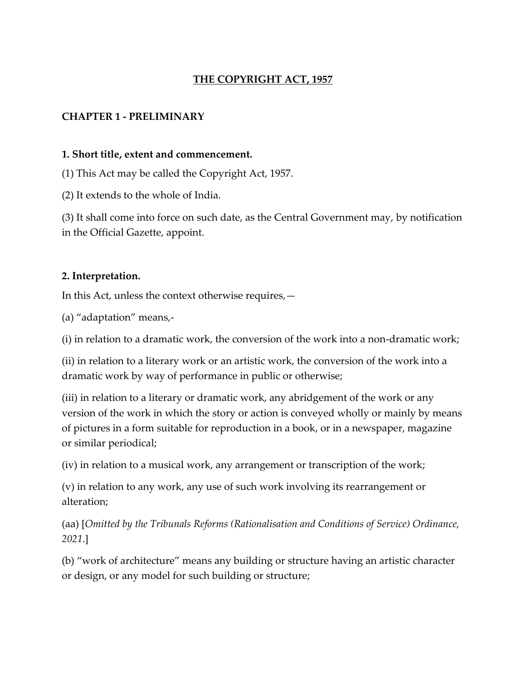### **THE COPYRIGHT ACT, 1957**

### **CHAPTER 1 - PRELIMINARY**

#### **1. Short title, extent and commencement.**

(1) This Act may be called the Copyright Act, 1957.

(2) It extends to the whole of India.

(3) It shall come into force on such date, as the Central Government may, by notification in the Official Gazette, appoint.

#### **2. Interpretation.**

In this Act, unless the context otherwise requires,—

(a) "adaptation" means,-

(i) in relation to a dramatic work, the conversion of the work into a non-dramatic work;

(ii) in relation to a literary work or an artistic work, the conversion of the work into a dramatic work by way of performance in public or otherwise;

(iii) in relation to a literary or dramatic work, any abridgement of the work or any version of the work in which the story or action is conveyed wholly or mainly by means of pictures in a form suitable for reproduction in a book, or in a newspaper, magazine or similar periodical;

(iv) in relation to a musical work, any arrangement or transcription of the work;

(v) in relation to any work, any use of such work involving its rearrangement or alteration;

(aa) [*Omitted by the Tribunals Reforms (Rationalisation and Conditions of Service) Ordinance, 2021*.]

(b) "work of architecture" means any building or structure having an artistic character or design, or any model for such building or structure;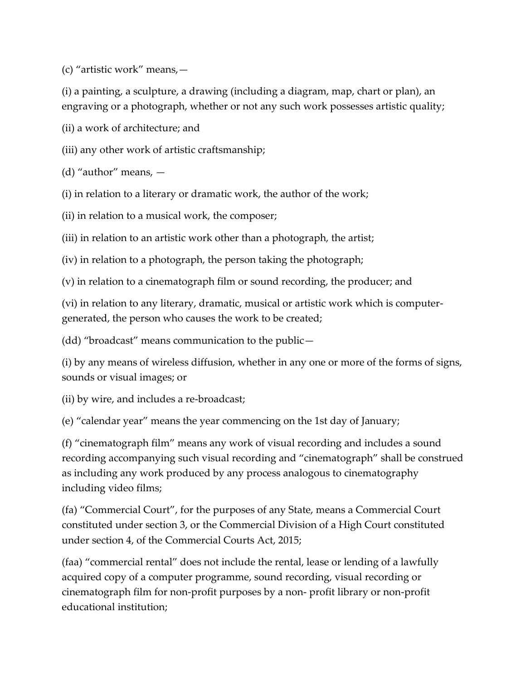(c) "artistic work" means,—

(i) a painting, a sculpture, a drawing (including a diagram, map, chart or plan), an engraving or a photograph, whether or not any such work possesses artistic quality;

(ii) a work of architecture; and

(iii) any other work of artistic craftsmanship;

(d) "author" means, —

(i) in relation to a literary or dramatic work, the author of the work;

(ii) in relation to a musical work, the composer;

(iii) in relation to an artistic work other than a photograph, the artist;

(iv) in relation to a photograph, the person taking the photograph;

(v) in relation to a cinematograph film or sound recording, the producer; and

(vi) in relation to any literary, dramatic, musical or artistic work which is computergenerated, the person who causes the work to be created;

(dd) "broadcast" means communication to the public—

(i) by any means of wireless diffusion, whether in any one or more of the forms of signs, sounds or visual images; or

(ii) by wire, and includes a re-broadcast;

(e) "calendar year" means the year commencing on the 1st day of January;

(f) "cinematograph film" means any work of visual recording and includes a sound recording accompanying such visual recording and "cinematograph" shall be construed as including any work produced by any process analogous to cinematography including video films;

(fa) "Commercial Court", for the purposes of any State, means a Commercial Court constituted under section 3, or the Commercial Division of a High Court constituted under section 4, of the Commercial Courts Act, 2015;

(faa) "commercial rental" does not include the rental, lease or lending of a lawfully acquired copy of a computer programme, sound recording, visual recording or cinematograph film for non-profit purposes by a non- profit library or non-profit educational institution;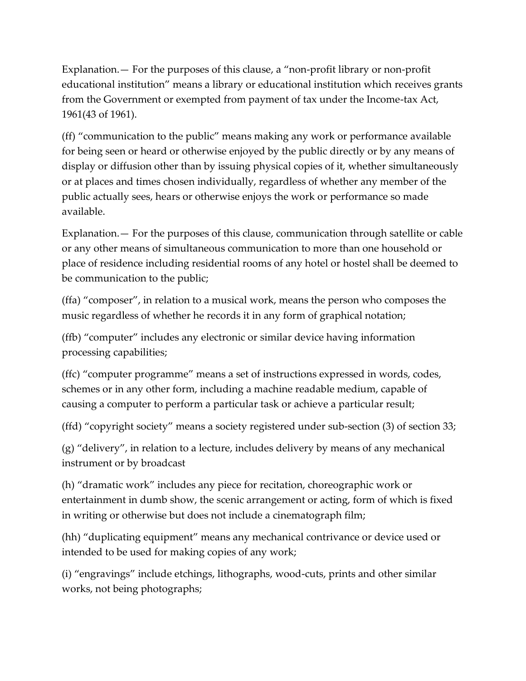Explanation.— For the purposes of this clause, a "non-profit library or non-profit educational institution" means a library or educational institution which receives grants from the Government or exempted from payment of tax under the Income-tax Act, 1961(43 of 1961).

(ff) "communication to the public" means making any work or performance available for being seen or heard or otherwise enjoyed by the public directly or by any means of display or diffusion other than by issuing physical copies of it, whether simultaneously or at places and times chosen individually, regardless of whether any member of the public actually sees, hears or otherwise enjoys the work or performance so made available.

Explanation.— For the purposes of this clause, communication through satellite or cable or any other means of simultaneous communication to more than one household or place of residence including residential rooms of any hotel or hostel shall be deemed to be communication to the public;

(ffa) "composer", in relation to a musical work, means the person who composes the music regardless of whether he records it in any form of graphical notation;

(ffb) "computer" includes any electronic or similar device having information processing capabilities;

(ffc) "computer programme" means a set of instructions expressed in words, codes, schemes or in any other form, including a machine readable medium, capable of causing a computer to perform a particular task or achieve a particular result;

(ffd) "copyright society" means a society registered under sub-section (3) of section 33;

(g) "delivery", in relation to a lecture, includes delivery by means of any mechanical instrument or by broadcast

(h) "dramatic work" includes any piece for recitation, choreographic work or entertainment in dumb show, the scenic arrangement or acting, form of which is fixed in writing or otherwise but does not include a cinematograph film;

(hh) "duplicating equipment" means any mechanical contrivance or device used or intended to be used for making copies of any work;

(i) "engravings" include etchings, lithographs, wood-cuts, prints and other similar works, not being photographs;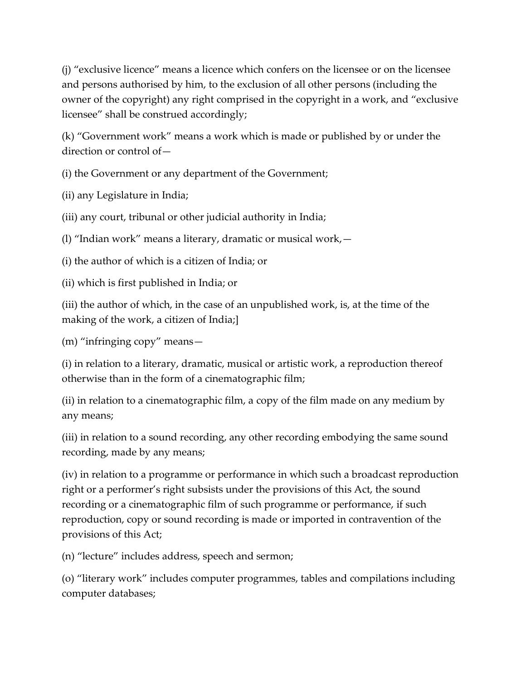(j) "exclusive licence" means a licence which confers on the licensee or on the licensee and persons authorised by him, to the exclusion of all other persons (including the owner of the copyright) any right comprised in the copyright in a work, and "exclusive licensee" shall be construed accordingly;

(k) "Government work" means a work which is made or published by or under the direction or control of—

(i) the Government or any department of the Government;

(ii) any Legislature in India;

(iii) any court, tribunal or other judicial authority in India;

(l) "Indian work" means a literary, dramatic or musical work,—

(i) the author of which is a citizen of India; or

(ii) which is first published in India; or

(iii) the author of which, in the case of an unpublished work, is, at the time of the making of the work, a citizen of India;]

(m) "infringing copy" means—

(i) in relation to a literary, dramatic, musical or artistic work, a reproduction thereof otherwise than in the form of a cinematographic film;

(ii) in relation to a cinematographic film, a copy of the film made on any medium by any means;

(iii) in relation to a sound recording, any other recording embodying the same sound recording, made by any means;

(iv) in relation to a programme or performance in which such a broadcast reproduction right or a performer's right subsists under the provisions of this Act, the sound recording or a cinematographic film of such programme or performance, if such reproduction, copy or sound recording is made or imported in contravention of the provisions of this Act;

(n) "lecture" includes address, speech and sermon;

(o) "literary work" includes computer programmes, tables and compilations including computer databases;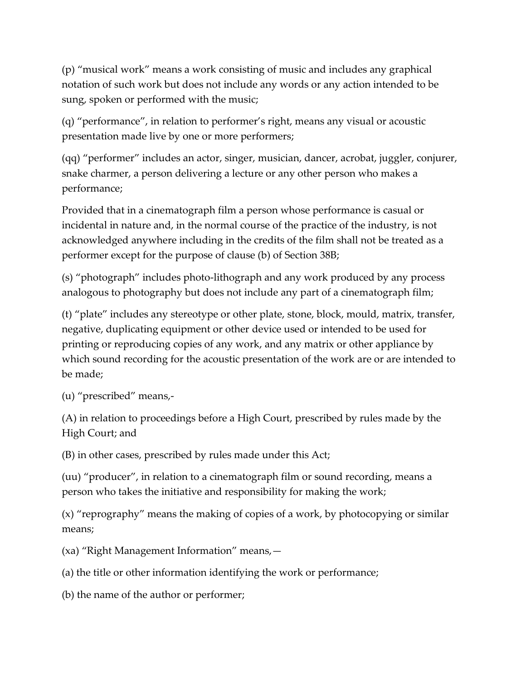(p) "musical work" means a work consisting of music and includes any graphical notation of such work but does not include any words or any action intended to be sung, spoken or performed with the music;

(q) "performance", in relation to performer's right, means any visual or acoustic presentation made live by one or more performers;

(qq) "performer" includes an actor, singer, musician, dancer, acrobat, juggler, conjurer, snake charmer, a person delivering a lecture or any other person who makes a performance;

Provided that in a cinematograph film a person whose performance is casual or incidental in nature and, in the normal course of the practice of the industry, is not acknowledged anywhere including in the credits of the film shall not be treated as a performer except for the purpose of clause (b) of Section 38B;

(s) "photograph" includes photo-lithograph and any work produced by any process analogous to photography but does not include any part of a cinematograph film;

(t) "plate" includes any stereotype or other plate, stone, block, mould, matrix, transfer, negative, duplicating equipment or other device used or intended to be used for printing or reproducing copies of any work, and any matrix or other appliance by which sound recording for the acoustic presentation of the work are or are intended to be made;

(u) "prescribed" means,-

(A) in relation to proceedings before a High Court, prescribed by rules made by the High Court; and

(B) in other cases, prescribed by rules made under this Act;

(uu) "producer", in relation to a cinematograph film or sound recording, means a person who takes the initiative and responsibility for making the work;

(x) "reprography" means the making of copies of a work, by photocopying or similar means;

(xa) "Right Management Information" means,—

(a) the title or other information identifying the work or performance;

(b) the name of the author or performer;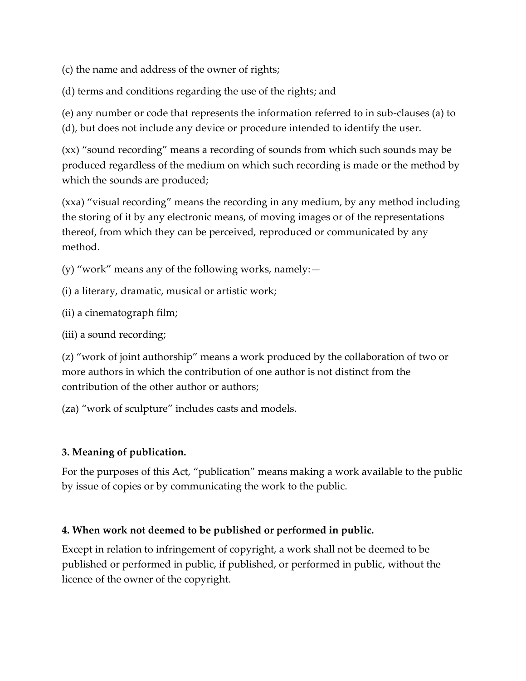(c) the name and address of the owner of rights;

(d) terms and conditions regarding the use of the rights; and

(e) any number or code that represents the information referred to in sub-clauses (a) to (d), but does not include any device or procedure intended to identify the user.

(xx) "sound recording" means a recording of sounds from which such sounds may be produced regardless of the medium on which such recording is made or the method by which the sounds are produced;

(xxa) "visual recording" means the recording in any medium, by any method including the storing of it by any electronic means, of moving images or of the representations thereof, from which they can be perceived, reproduced or communicated by any method.

(y) "work" means any of the following works, namely:—

(i) a literary, dramatic, musical or artistic work;

(ii) a cinematograph film;

(iii) a sound recording;

(z) "work of joint authorship" means a work produced by the collaboration of two or more authors in which the contribution of one author is not distinct from the contribution of the other author or authors;

(za) "work of sculpture" includes casts and models.

# **3. Meaning of publication.**

For the purposes of this Act, "publication" means making a work available to the public by issue of copies or by communicating the work to the public.

# **4. When work not deemed to be published or performed in public.**

Except in relation to infringement of copyright, a work shall not be deemed to be published or performed in public, if published, or performed in public, without the licence of the owner of the copyright.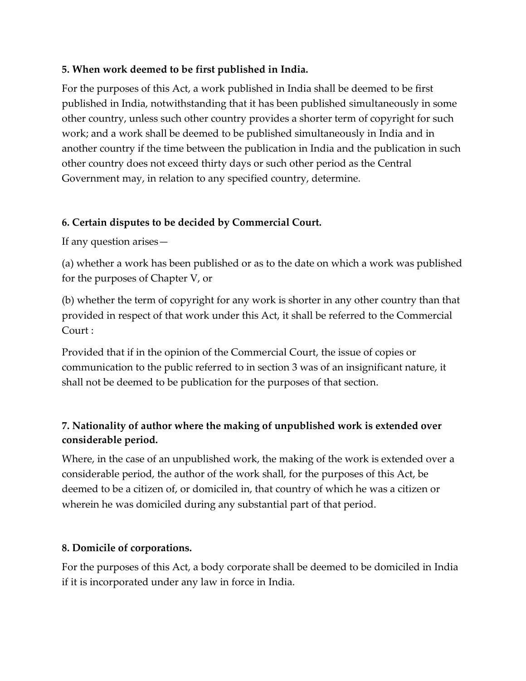## **5. When work deemed to be first published in India.**

For the purposes of this Act, a work published in India shall be deemed to be first published in India, notwithstanding that it has been published simultaneously in some other country, unless such other country provides a shorter term of copyright for such work; and a work shall be deemed to be published simultaneously in India and in another country if the time between the publication in India and the publication in such other country does not exceed thirty days or such other period as the Central Government may, in relation to any specified country, determine.

## **6. Certain disputes to be decided by Commercial Court.**

If any question arises—

(a) whether a work has been published or as to the date on which a work was published for the purposes of Chapter V, or

(b) whether the term of copyright for any work is shorter in any other country than that provided in respect of that work under this Act, it shall be referred to the Commercial Court :

Provided that if in the opinion of the Commercial Court, the issue of copies or communication to the public referred to in section 3 was of an insignificant nature, it shall not be deemed to be publication for the purposes of that section.

# **7. Nationality of author where the making of unpublished work is extended over considerable period.**

Where, in the case of an unpublished work, the making of the work is extended over a considerable period, the author of the work shall, for the purposes of this Act, be deemed to be a citizen of, or domiciled in, that country of which he was a citizen or wherein he was domiciled during any substantial part of that period.

### **8. Domicile of corporations.**

For the purposes of this Act, a body corporate shall be deemed to be domiciled in India if it is incorporated under any law in force in India.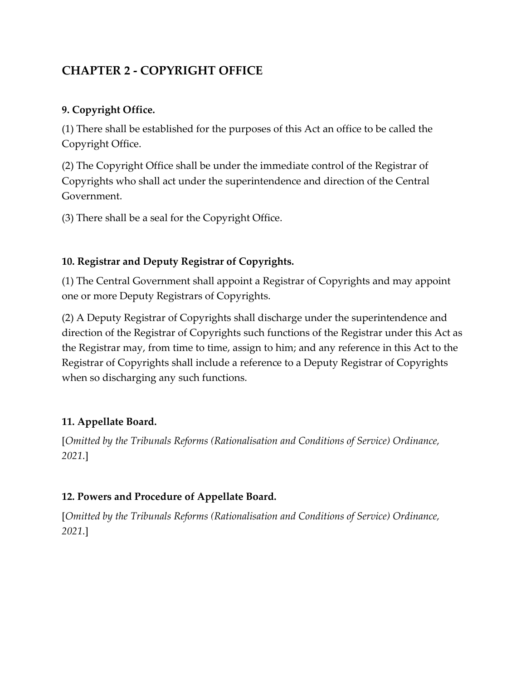# **CHAPTER 2 - COPYRIGHT OFFICE**

## **9. Copyright Office.**

(1) There shall be established for the purposes of this Act an office to be called the Copyright Office.

(2) The Copyright Office shall be under the immediate control of the Registrar of Copyrights who shall act under the superintendence and direction of the Central Government.

(3) There shall be a seal for the Copyright Office.

## **10. Registrar and Deputy Registrar of Copyrights.**

(1) The Central Government shall appoint a Registrar of Copyrights and may appoint one or more Deputy Registrars of Copyrights.

(2) A Deputy Registrar of Copyrights shall discharge under the superintendence and direction of the Registrar of Copyrights such functions of the Registrar under this Act as the Registrar may, from time to time, assign to him; and any reference in this Act to the Registrar of Copyrights shall include a reference to a Deputy Registrar of Copyrights when so discharging any such functions.

# **11. Appellate Board.**

[*Omitted by the Tribunals Reforms (Rationalisation and Conditions of Service) Ordinance, 2021*.]

# **12. Powers and Procedure of Appellate Board.**

[*Omitted by the Tribunals Reforms (Rationalisation and Conditions of Service) Ordinance, 2021*.]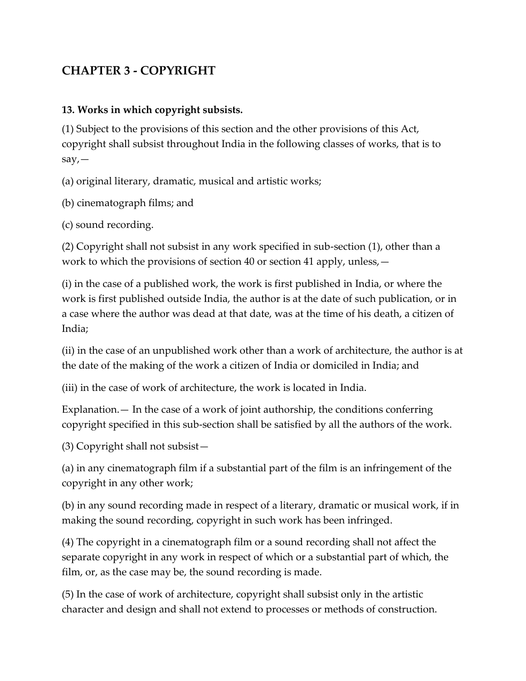# **CHAPTER 3 - COPYRIGHT**

#### **13. Works in which copyright subsists.**

(1) Subject to the provisions of this section and the other provisions of this Act, copyright shall subsist throughout India in the following classes of works, that is to  $say, -$ 

(a) original literary, dramatic, musical and artistic works;

(b) cinematograph films; and

(c) sound recording.

(2) Copyright shall not subsist in any work specified in sub-section (1), other than a work to which the provisions of section 40 or section 41 apply, unless,—

(i) in the case of a published work, the work is first published in India, or where the work is first published outside India, the author is at the date of such publication, or in a case where the author was dead at that date, was at the time of his death, a citizen of India;

(ii) in the case of an unpublished work other than a work of architecture, the author is at the date of the making of the work a citizen of India or domiciled in India; and

(iii) in the case of work of architecture, the work is located in India.

Explanation.— In the case of a work of joint authorship, the conditions conferring copyright specified in this sub-section shall be satisfied by all the authors of the work.

(3) Copyright shall not subsist—

(a) in any cinematograph film if a substantial part of the film is an infringement of the copyright in any other work;

(b) in any sound recording made in respect of a literary, dramatic or musical work, if in making the sound recording, copyright in such work has been infringed.

(4) The copyright in a cinematograph film or a sound recording shall not affect the separate copyright in any work in respect of which or a substantial part of which, the film, or, as the case may be, the sound recording is made.

(5) In the case of work of architecture, copyright shall subsist only in the artistic character and design and shall not extend to processes or methods of construction.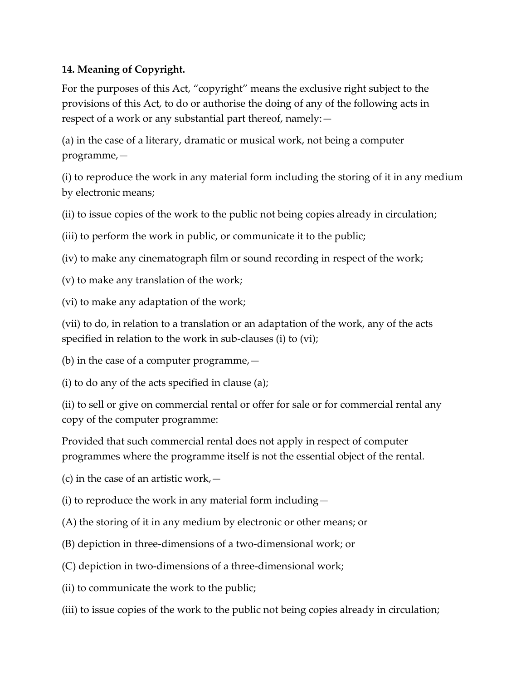# **14. Meaning of Copyright.**

For the purposes of this Act, "copyright" means the exclusive right subject to the provisions of this Act, to do or authorise the doing of any of the following acts in respect of a work or any substantial part thereof, namely:—

(a) in the case of a literary, dramatic or musical work, not being a computer programme,—

(i) to reproduce the work in any material form including the storing of it in any medium by electronic means;

(ii) to issue copies of the work to the public not being copies already in circulation;

(iii) to perform the work in public, or communicate it to the public;

(iv) to make any cinematograph film or sound recording in respect of the work;

(v) to make any translation of the work;

(vi) to make any adaptation of the work;

(vii) to do, in relation to a translation or an adaptation of the work, any of the acts specified in relation to the work in sub-clauses (i) to (vi);

(b) in the case of a computer programme,—

(i) to do any of the acts specified in clause (a);

(ii) to sell or give on commercial rental or offer for sale or for commercial rental any copy of the computer programme:

Provided that such commercial rental does not apply in respect of computer programmes where the programme itself is not the essential object of the rental.

(c) in the case of an artistic work,—

(i) to reproduce the work in any material form including—

(A) the storing of it in any medium by electronic or other means; or

(B) depiction in three-dimensions of a two-dimensional work; or

(C) depiction in two-dimensions of a three-dimensional work;

(ii) to communicate the work to the public;

(iii) to issue copies of the work to the public not being copies already in circulation;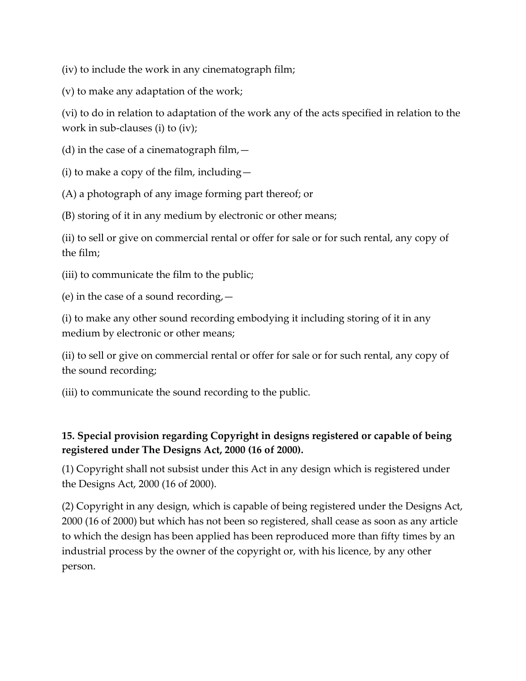(iv) to include the work in any cinematograph film;

(v) to make any adaptation of the work;

(vi) to do in relation to adaptation of the work any of the acts specified in relation to the work in sub-clauses (i) to (iv);

(d) in the case of a cinematograph film,  $-$ 

(i) to make a copy of the film, including—

(A) a photograph of any image forming part thereof; or

(B) storing of it in any medium by electronic or other means;

(ii) to sell or give on commercial rental or offer for sale or for such rental, any copy of the film;

(iii) to communicate the film to the public;

(e) in the case of a sound recording,—

(i) to make any other sound recording embodying it including storing of it in any medium by electronic or other means;

(ii) to sell or give on commercial rental or offer for sale or for such rental, any copy of the sound recording;

(iii) to communicate the sound recording to the public.

# **15. Special provision regarding Copyright in designs registered or capable of being registered under The Designs Act, 2000 (16 of 2000).**

(1) Copyright shall not subsist under this Act in any design which is registered under the Designs Act, 2000 (16 of 2000).

(2) Copyright in any design, which is capable of being registered under the Designs Act, 2000 (16 of 2000) but which has not been so registered, shall cease as soon as any article to which the design has been applied has been reproduced more than fifty times by an industrial process by the owner of the copyright or, with his licence, by any other person.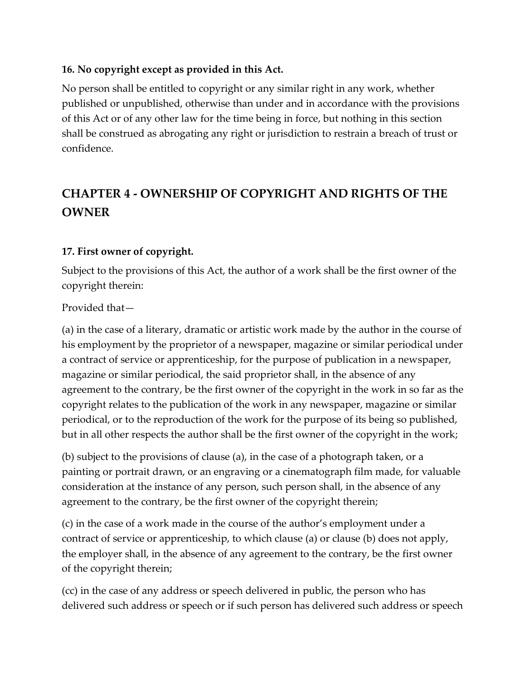## **16. No copyright except as provided in this Act.**

No person shall be entitled to copyright or any similar right in any work, whether published or unpublished, otherwise than under and in accordance with the provisions of this Act or of any other law for the time being in force, but nothing in this section shall be construed as abrogating any right or jurisdiction to restrain a breach of trust or confidence.

# **CHAPTER 4 - OWNERSHIP OF COPYRIGHT AND RIGHTS OF THE OWNER**

## **17. First owner of copyright.**

Subject to the provisions of this Act, the author of a work shall be the first owner of the copyright therein:

Provided that—

(a) in the case of a literary, dramatic or artistic work made by the author in the course of his employment by the proprietor of a newspaper, magazine or similar periodical under a contract of service or apprenticeship, for the purpose of publication in a newspaper, magazine or similar periodical, the said proprietor shall, in the absence of any agreement to the contrary, be the first owner of the copyright in the work in so far as the copyright relates to the publication of the work in any newspaper, magazine or similar periodical, or to the reproduction of the work for the purpose of its being so published, but in all other respects the author shall be the first owner of the copyright in the work;

(b) subject to the provisions of clause (a), in the case of a photograph taken, or a painting or portrait drawn, or an engraving or a cinematograph film made, for valuable consideration at the instance of any person, such person shall, in the absence of any agreement to the contrary, be the first owner of the copyright therein;

(c) in the case of a work made in the course of the author's employment under a contract of service or apprenticeship, to which clause (a) or clause (b) does not apply, the employer shall, in the absence of any agreement to the contrary, be the first owner of the copyright therein;

(cc) in the case of any address or speech delivered in public, the person who has delivered such address or speech or if such person has delivered such address or speech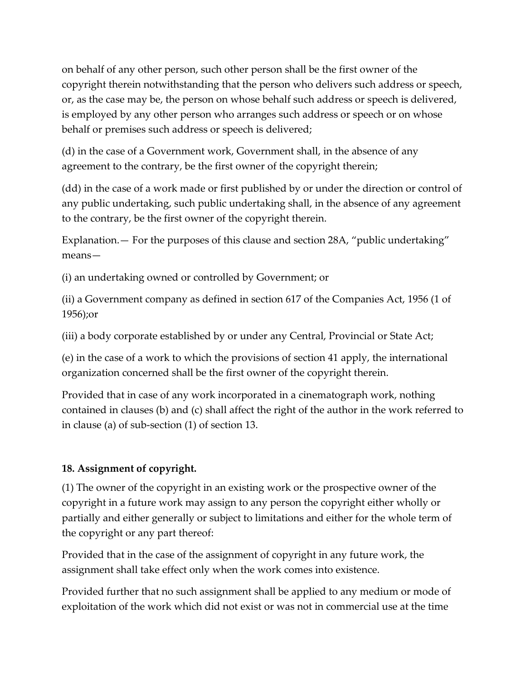on behalf of any other person, such other person shall be the first owner of the copyright therein notwithstanding that the person who delivers such address or speech, or, as the case may be, the person on whose behalf such address or speech is delivered, is employed by any other person who arranges such address or speech or on whose behalf or premises such address or speech is delivered;

(d) in the case of a Government work, Government shall, in the absence of any agreement to the contrary, be the first owner of the copyright therein;

(dd) in the case of a work made or first published by or under the direction or control of any public undertaking, such public undertaking shall, in the absence of any agreement to the contrary, be the first owner of the copyright therein.

Explanation.— For the purposes of this clause and section 28A, "public undertaking" means—

(i) an undertaking owned or controlled by Government; or

(ii) a Government company as defined in section 617 of the Companies Act, 1956 (1 of 1956);or

(iii) a body corporate established by or under any Central, Provincial or State Act;

(e) in the case of a work to which the provisions of section 41 apply, the international organization concerned shall be the first owner of the copyright therein.

Provided that in case of any work incorporated in a cinematograph work, nothing contained in clauses (b) and (c) shall affect the right of the author in the work referred to in clause (a) of sub-section (1) of section 13.

# **18. Assignment of copyright.**

(1) The owner of the copyright in an existing work or the prospective owner of the copyright in a future work may assign to any person the copyright either wholly or partially and either generally or subject to limitations and either for the whole term of the copyright or any part thereof:

Provided that in the case of the assignment of copyright in any future work, the assignment shall take effect only when the work comes into existence.

Provided further that no such assignment shall be applied to any medium or mode of exploitation of the work which did not exist or was not in commercial use at the time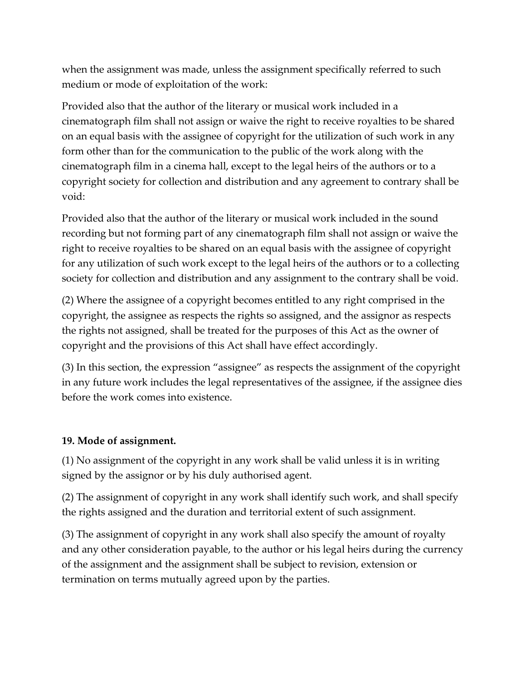when the assignment was made, unless the assignment specifically referred to such medium or mode of exploitation of the work:

Provided also that the author of the literary or musical work included in a cinematograph film shall not assign or waive the right to receive royalties to be shared on an equal basis with the assignee of copyright for the utilization of such work in any form other than for the communication to the public of the work along with the cinematograph film in a cinema hall, except to the legal heirs of the authors or to a copyright society for collection and distribution and any agreement to contrary shall be void:

Provided also that the author of the literary or musical work included in the sound recording but not forming part of any cinematograph film shall not assign or waive the right to receive royalties to be shared on an equal basis with the assignee of copyright for any utilization of such work except to the legal heirs of the authors or to a collecting society for collection and distribution and any assignment to the contrary shall be void.

(2) Where the assignee of a copyright becomes entitled to any right comprised in the copyright, the assignee as respects the rights so assigned, and the assignor as respects the rights not assigned, shall be treated for the purposes of this Act as the owner of copyright and the provisions of this Act shall have effect accordingly.

(3) In this section, the expression "assignee" as respects the assignment of the copyright in any future work includes the legal representatives of the assignee, if the assignee dies before the work comes into existence.

### **19. Mode of assignment.**

(1) No assignment of the copyright in any work shall be valid unless it is in writing signed by the assignor or by his duly authorised agent.

(2) The assignment of copyright in any work shall identify such work, and shall specify the rights assigned and the duration and territorial extent of such assignment.

(3) The assignment of copyright in any work shall also specify the amount of royalty and any other consideration payable, to the author or his legal heirs during the currency of the assignment and the assignment shall be subject to revision, extension or termination on terms mutually agreed upon by the parties.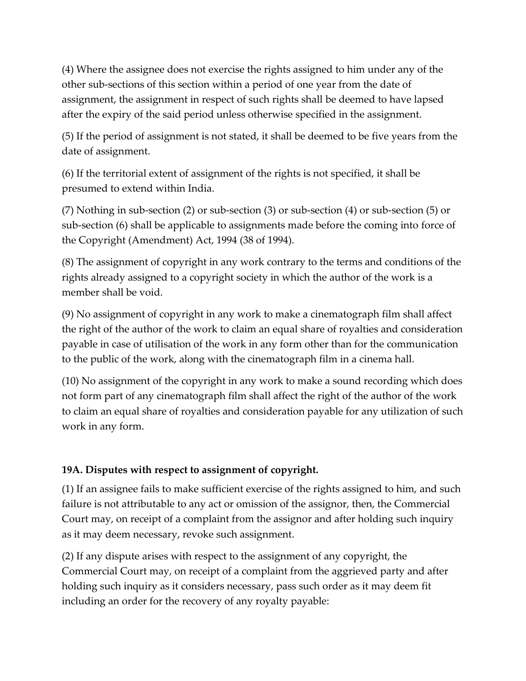(4) Where the assignee does not exercise the rights assigned to him under any of the other sub-sections of this section within a period of one year from the date of assignment, the assignment in respect of such rights shall be deemed to have lapsed after the expiry of the said period unless otherwise specified in the assignment.

(5) If the period of assignment is not stated, it shall be deemed to be five years from the date of assignment.

(6) If the territorial extent of assignment of the rights is not specified, it shall be presumed to extend within India.

(7) Nothing in sub-section (2) or sub-section (3) or sub-section (4) or sub-section (5) or sub-section (6) shall be applicable to assignments made before the coming into force of the Copyright (Amendment) Act, 1994 (38 of 1994).

(8) The assignment of copyright in any work contrary to the terms and conditions of the rights already assigned to a copyright society in which the author of the work is a member shall be void.

(9) No assignment of copyright in any work to make a cinematograph film shall affect the right of the author of the work to claim an equal share of royalties and consideration payable in case of utilisation of the work in any form other than for the communication to the public of the work, along with the cinematograph film in a cinema hall.

(10) No assignment of the copyright in any work to make a sound recording which does not form part of any cinematograph film shall affect the right of the author of the work to claim an equal share of royalties and consideration payable for any utilization of such work in any form.

# **19A. Disputes with respect to assignment of copyright.**

(1) If an assignee fails to make sufficient exercise of the rights assigned to him, and such failure is not attributable to any act or omission of the assignor, then, the Commercial Court may, on receipt of a complaint from the assignor and after holding such inquiry as it may deem necessary, revoke such assignment.

(2) If any dispute arises with respect to the assignment of any copyright, the Commercial Court may, on receipt of a complaint from the aggrieved party and after holding such inquiry as it considers necessary, pass such order as it may deem fit including an order for the recovery of any royalty payable: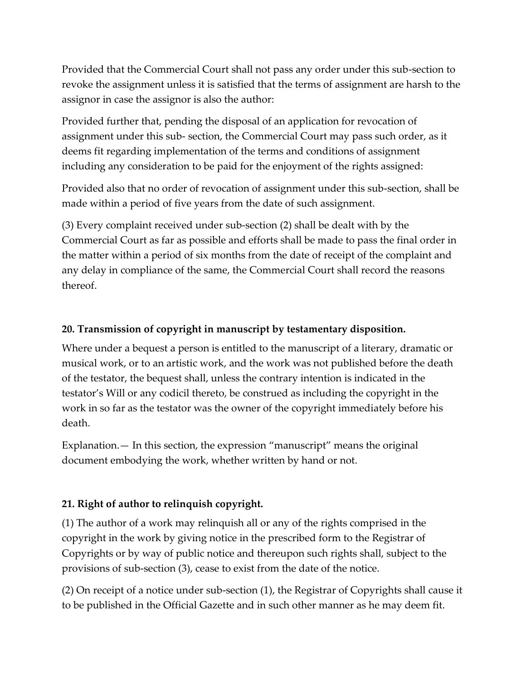Provided that the Commercial Court shall not pass any order under this sub-section to revoke the assignment unless it is satisfied that the terms of assignment are harsh to the assignor in case the assignor is also the author:

Provided further that, pending the disposal of an application for revocation of assignment under this sub- section, the Commercial Court may pass such order, as it deems fit regarding implementation of the terms and conditions of assignment including any consideration to be paid for the enjoyment of the rights assigned:

Provided also that no order of revocation of assignment under this sub-section, shall be made within a period of five years from the date of such assignment.

(3) Every complaint received under sub-section (2) shall be dealt with by the Commercial Court as far as possible and efforts shall be made to pass the final order in the matter within a period of six months from the date of receipt of the complaint and any delay in compliance of the same, the Commercial Court shall record the reasons thereof.

# **20. Transmission of copyright in manuscript by testamentary disposition.**

Where under a bequest a person is entitled to the manuscript of a literary, dramatic or musical work, or to an artistic work, and the work was not published before the death of the testator, the bequest shall, unless the contrary intention is indicated in the testator's Will or any codicil thereto, be construed as including the copyright in the work in so far as the testator was the owner of the copyright immediately before his death.

Explanation.— In this section, the expression "manuscript" means the original document embodying the work, whether written by hand or not.

### **21. Right of author to relinquish copyright.**

(1) The author of a work may relinquish all or any of the rights comprised in the copyright in the work by giving notice in the prescribed form to the Registrar of Copyrights or by way of public notice and thereupon such rights shall, subject to the provisions of sub-section (3), cease to exist from the date of the notice.

(2) On receipt of a notice under sub-section (1), the Registrar of Copyrights shall cause it to be published in the Official Gazette and in such other manner as he may deem fit.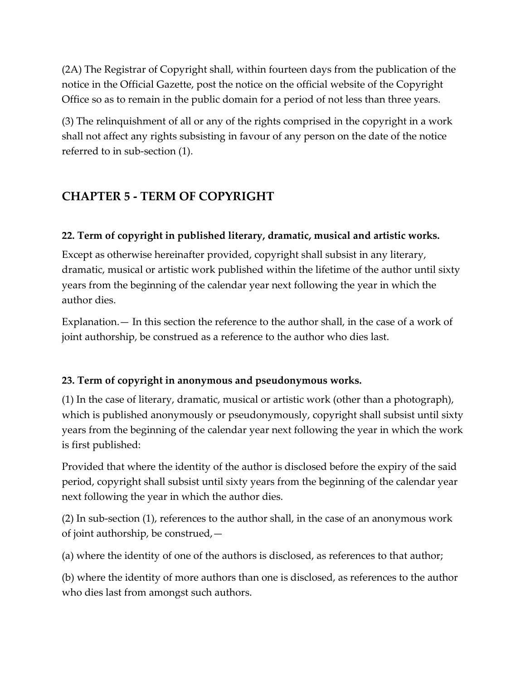(2A) The Registrar of Copyright shall, within fourteen days from the publication of the notice in the Official Gazette, post the notice on the official website of the Copyright Office so as to remain in the public domain for a period of not less than three years.

(3) The relinquishment of all or any of the rights comprised in the copyright in a work shall not affect any rights subsisting in favour of any person on the date of the notice referred to in sub-section (1).

# **CHAPTER 5 - TERM OF COPYRIGHT**

# **22. Term of copyright in published literary, dramatic, musical and artistic works.**

Except as otherwise hereinafter provided, copyright shall subsist in any literary, dramatic, musical or artistic work published within the lifetime of the author until sixty years from the beginning of the calendar year next following the year in which the author dies.

Explanation.— In this section the reference to the author shall, in the case of a work of joint authorship, be construed as a reference to the author who dies last.

# **23. Term of copyright in anonymous and pseudonymous works.**

(1) In the case of literary, dramatic, musical or artistic work (other than a photograph), which is published anonymously or pseudonymously, copyright shall subsist until sixty years from the beginning of the calendar year next following the year in which the work is first published:

Provided that where the identity of the author is disclosed before the expiry of the said period, copyright shall subsist until sixty years from the beginning of the calendar year next following the year in which the author dies.

(2) In sub-section (1), references to the author shall, in the case of an anonymous work of joint authorship, be construed,—

(a) where the identity of one of the authors is disclosed, as references to that author;

(b) where the identity of more authors than one is disclosed, as references to the author who dies last from amongst such authors.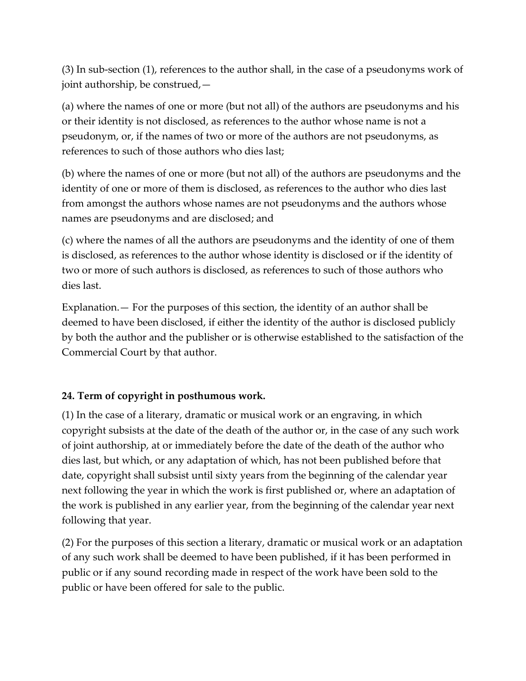(3) In sub-section (1), references to the author shall, in the case of a pseudonyms work of joint authorship, be construed,—

(a) where the names of one or more (but not all) of the authors are pseudonyms and his or their identity is not disclosed, as references to the author whose name is not a pseudonym, or, if the names of two or more of the authors are not pseudonyms, as references to such of those authors who dies last;

(b) where the names of one or more (but not all) of the authors are pseudonyms and the identity of one or more of them is disclosed, as references to the author who dies last from amongst the authors whose names are not pseudonyms and the authors whose names are pseudonyms and are disclosed; and

(c) where the names of all the authors are pseudonyms and the identity of one of them is disclosed, as references to the author whose identity is disclosed or if the identity of two or more of such authors is disclosed, as references to such of those authors who dies last.

Explanation.— For the purposes of this section, the identity of an author shall be deemed to have been disclosed, if either the identity of the author is disclosed publicly by both the author and the publisher or is otherwise established to the satisfaction of the Commercial Court by that author.

### **24. Term of copyright in posthumous work.**

(1) In the case of a literary, dramatic or musical work or an engraving, in which copyright subsists at the date of the death of the author or, in the case of any such work of joint authorship, at or immediately before the date of the death of the author who dies last, but which, or any adaptation of which, has not been published before that date, copyright shall subsist until sixty years from the beginning of the calendar year next following the year in which the work is first published or, where an adaptation of the work is published in any earlier year, from the beginning of the calendar year next following that year.

(2) For the purposes of this section a literary, dramatic or musical work or an adaptation of any such work shall be deemed to have been published, if it has been performed in public or if any sound recording made in respect of the work have been sold to the public or have been offered for sale to the public.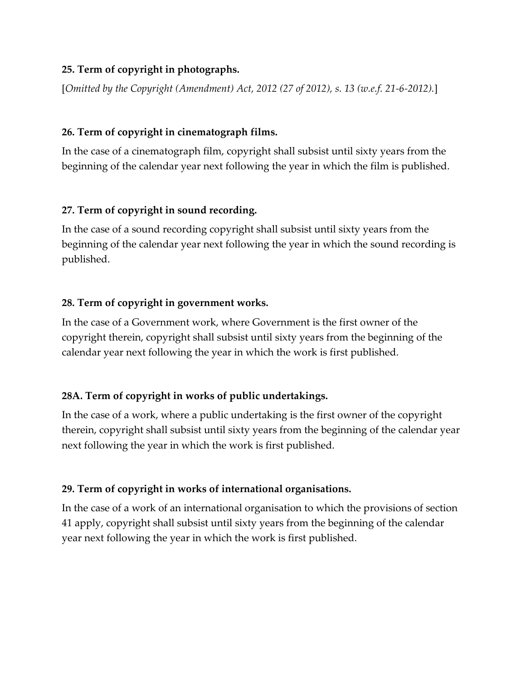# **25. Term of copyright in photographs.**

[*Omitted by the Copyright (Amendment) Act, 2012 (27 of 2012), s. 13 (w.e.f. 21-6-2012).*]

## **26. Term of copyright in cinematograph films.**

In the case of a cinematograph film, copyright shall subsist until sixty years from the beginning of the calendar year next following the year in which the film is published.

## **27. Term of copyright in sound recording.**

In the case of a sound recording copyright shall subsist until sixty years from the beginning of the calendar year next following the year in which the sound recording is published.

# **28. Term of copyright in government works.**

In the case of a Government work, where Government is the first owner of the copyright therein, copyright shall subsist until sixty years from the beginning of the calendar year next following the year in which the work is first published.

# **28A. Term of copyright in works of public undertakings.**

In the case of a work, where a public undertaking is the first owner of the copyright therein, copyright shall subsist until sixty years from the beginning of the calendar year next following the year in which the work is first published.

# **29. Term of copyright in works of international organisations.**

In the case of a work of an international organisation to which the provisions of section 41 apply, copyright shall subsist until sixty years from the beginning of the calendar year next following the year in which the work is first published.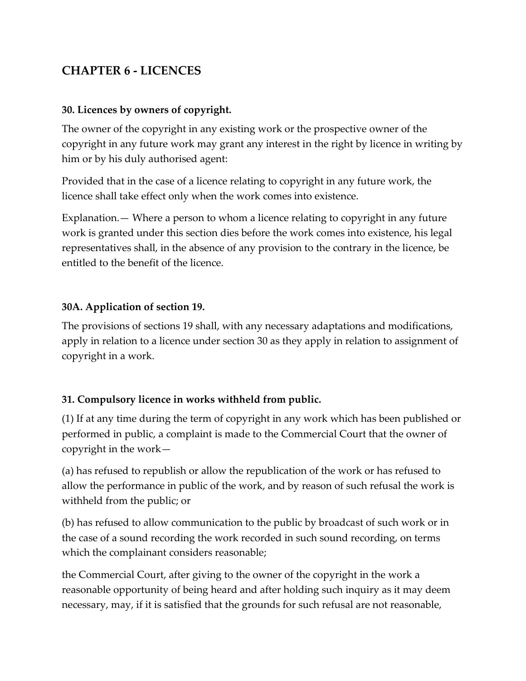# **CHAPTER 6 - LICENCES**

#### **30. Licences by owners of copyright.**

The owner of the copyright in any existing work or the prospective owner of the copyright in any future work may grant any interest in the right by licence in writing by him or by his duly authorised agent:

Provided that in the case of a licence relating to copyright in any future work, the licence shall take effect only when the work comes into existence.

Explanation.— Where a person to whom a licence relating to copyright in any future work is granted under this section dies before the work comes into existence, his legal representatives shall, in the absence of any provision to the contrary in the licence, be entitled to the benefit of the licence.

#### **30A. Application of section 19.**

The provisions of sections 19 shall, with any necessary adaptations and modifications, apply in relation to a licence under section 30 as they apply in relation to assignment of copyright in a work.

### **31. Compulsory licence in works withheld from public.**

(1) If at any time during the term of copyright in any work which has been published or performed in public, a complaint is made to the Commercial Court that the owner of copyright in the work—

(a) has refused to republish or allow the republication of the work or has refused to allow the performance in public of the work, and by reason of such refusal the work is withheld from the public; or

(b) has refused to allow communication to the public by broadcast of such work or in the case of a sound recording the work recorded in such sound recording, on terms which the complainant considers reasonable;

the Commercial Court, after giving to the owner of the copyright in the work a reasonable opportunity of being heard and after holding such inquiry as it may deem necessary, may, if it is satisfied that the grounds for such refusal are not reasonable,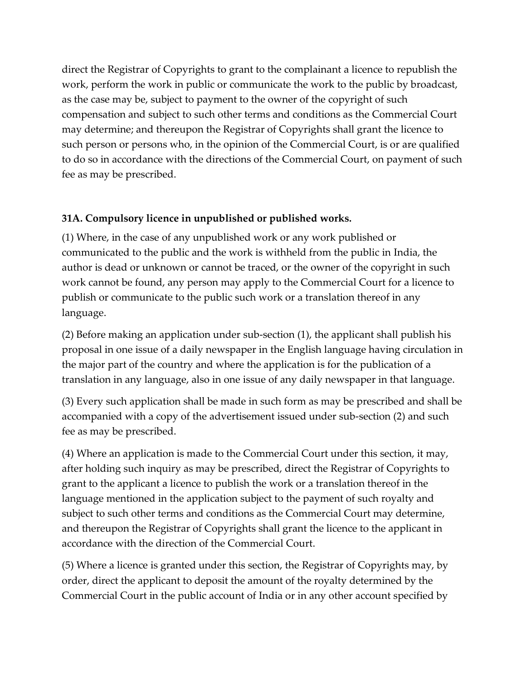direct the Registrar of Copyrights to grant to the complainant a licence to republish the work, perform the work in public or communicate the work to the public by broadcast, as the case may be, subject to payment to the owner of the copyright of such compensation and subject to such other terms and conditions as the Commercial Court may determine; and thereupon the Registrar of Copyrights shall grant the licence to such person or persons who, in the opinion of the Commercial Court, is or are qualified to do so in accordance with the directions of the Commercial Court, on payment of such fee as may be prescribed.

# **31A. Compulsory licence in unpublished or published works.**

(1) Where, in the case of any unpublished work or any work published or communicated to the public and the work is withheld from the public in India, the author is dead or unknown or cannot be traced, or the owner of the copyright in such work cannot be found, any person may apply to the Commercial Court for a licence to publish or communicate to the public such work or a translation thereof in any language.

(2) Before making an application under sub-section (1), the applicant shall publish his proposal in one issue of a daily newspaper in the English language having circulation in the major part of the country and where the application is for the publication of a translation in any language, also in one issue of any daily newspaper in that language.

(3) Every such application shall be made in such form as may be prescribed and shall be accompanied with a copy of the advertisement issued under sub-section (2) and such fee as may be prescribed.

(4) Where an application is made to the Commercial Court under this section, it may, after holding such inquiry as may be prescribed, direct the Registrar of Copyrights to grant to the applicant a licence to publish the work or a translation thereof in the language mentioned in the application subject to the payment of such royalty and subject to such other terms and conditions as the Commercial Court may determine, and thereupon the Registrar of Copyrights shall grant the licence to the applicant in accordance with the direction of the Commercial Court.

(5) Where a licence is granted under this section, the Registrar of Copyrights may, by order, direct the applicant to deposit the amount of the royalty determined by the Commercial Court in the public account of India or in any other account specified by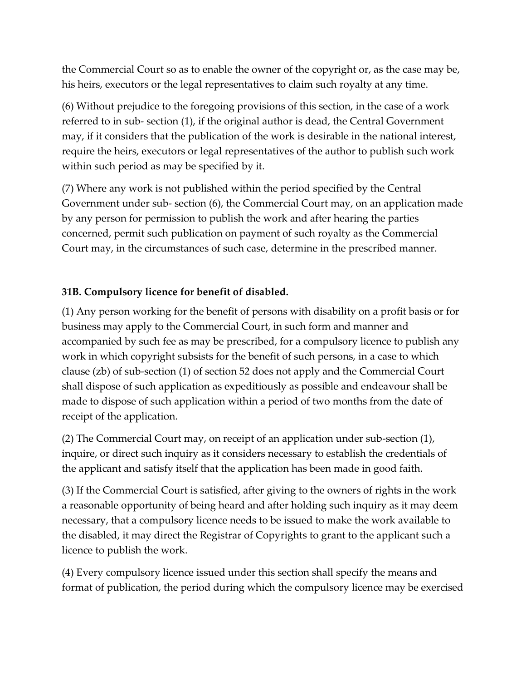the Commercial Court so as to enable the owner of the copyright or, as the case may be, his heirs, executors or the legal representatives to claim such royalty at any time.

(6) Without prejudice to the foregoing provisions of this section, in the case of a work referred to in sub- section (1), if the original author is dead, the Central Government may, if it considers that the publication of the work is desirable in the national interest, require the heirs, executors or legal representatives of the author to publish such work within such period as may be specified by it.

(7) Where any work is not published within the period specified by the Central Government under sub- section (6), the Commercial Court may, on an application made by any person for permission to publish the work and after hearing the parties concerned, permit such publication on payment of such royalty as the Commercial Court may, in the circumstances of such case, determine in the prescribed manner.

## **31B. Compulsory licence for benefit of disabled.**

(1) Any person working for the benefit of persons with disability on a profit basis or for business may apply to the Commercial Court, in such form and manner and accompanied by such fee as may be prescribed, for a compulsory licence to publish any work in which copyright subsists for the benefit of such persons, in a case to which clause (zb) of sub-section (1) of section 52 does not apply and the Commercial Court shall dispose of such application as expeditiously as possible and endeavour shall be made to dispose of such application within a period of two months from the date of receipt of the application.

(2) The Commercial Court may, on receipt of an application under sub-section (1), inquire, or direct such inquiry as it considers necessary to establish the credentials of the applicant and satisfy itself that the application has been made in good faith.

(3) If the Commercial Court is satisfied, after giving to the owners of rights in the work a reasonable opportunity of being heard and after holding such inquiry as it may deem necessary, that a compulsory licence needs to be issued to make the work available to the disabled, it may direct the Registrar of Copyrights to grant to the applicant such a licence to publish the work.

(4) Every compulsory licence issued under this section shall specify the means and format of publication, the period during which the compulsory licence may be exercised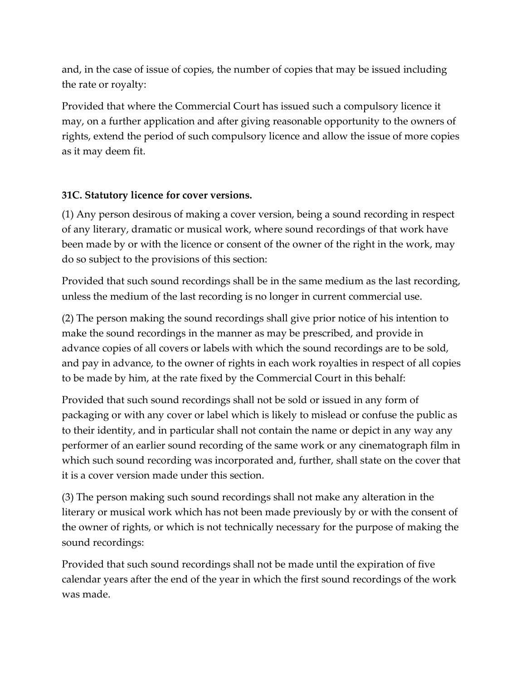and, in the case of issue of copies, the number of copies that may be issued including the rate or royalty:

Provided that where the Commercial Court has issued such a compulsory licence it may, on a further application and after giving reasonable opportunity to the owners of rights, extend the period of such compulsory licence and allow the issue of more copies as it may deem fit.

#### **31C. Statutory licence for cover versions.**

(1) Any person desirous of making a cover version, being a sound recording in respect of any literary, dramatic or musical work, where sound recordings of that work have been made by or with the licence or consent of the owner of the right in the work, may do so subject to the provisions of this section:

Provided that such sound recordings shall be in the same medium as the last recording, unless the medium of the last recording is no longer in current commercial use.

(2) The person making the sound recordings shall give prior notice of his intention to make the sound recordings in the manner as may be prescribed, and provide in advance copies of all covers or labels with which the sound recordings are to be sold, and pay in advance, to the owner of rights in each work royalties in respect of all copies to be made by him, at the rate fixed by the Commercial Court in this behalf:

Provided that such sound recordings shall not be sold or issued in any form of packaging or with any cover or label which is likely to mislead or confuse the public as to their identity, and in particular shall not contain the name or depict in any way any performer of an earlier sound recording of the same work or any cinematograph film in which such sound recording was incorporated and, further, shall state on the cover that it is a cover version made under this section.

(3) The person making such sound recordings shall not make any alteration in the literary or musical work which has not been made previously by or with the consent of the owner of rights, or which is not technically necessary for the purpose of making the sound recordings:

Provided that such sound recordings shall not be made until the expiration of five calendar years after the end of the year in which the first sound recordings of the work was made.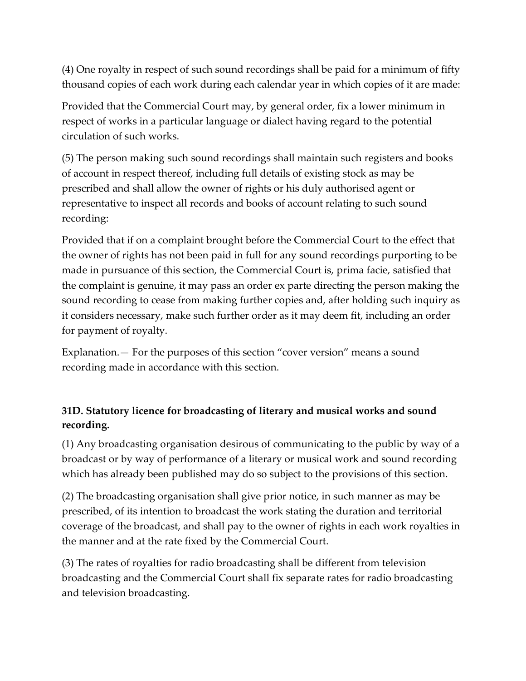(4) One royalty in respect of such sound recordings shall be paid for a minimum of fifty thousand copies of each work during each calendar year in which copies of it are made:

Provided that the Commercial Court may, by general order, fix a lower minimum in respect of works in a particular language or dialect having regard to the potential circulation of such works.

(5) The person making such sound recordings shall maintain such registers and books of account in respect thereof, including full details of existing stock as may be prescribed and shall allow the owner of rights or his duly authorised agent or representative to inspect all records and books of account relating to such sound recording:

Provided that if on a complaint brought before the Commercial Court to the effect that the owner of rights has not been paid in full for any sound recordings purporting to be made in pursuance of this section, the Commercial Court is, prima facie, satisfied that the complaint is genuine, it may pass an order ex parte directing the person making the sound recording to cease from making further copies and, after holding such inquiry as it considers necessary, make such further order as it may deem fit, including an order for payment of royalty.

Explanation.— For the purposes of this section "cover version" means a sound recording made in accordance with this section.

# **31D. Statutory licence for broadcasting of literary and musical works and sound recording.**

(1) Any broadcasting organisation desirous of communicating to the public by way of a broadcast or by way of performance of a literary or musical work and sound recording which has already been published may do so subject to the provisions of this section.

(2) The broadcasting organisation shall give prior notice, in such manner as may be prescribed, of its intention to broadcast the work stating the duration and territorial coverage of the broadcast, and shall pay to the owner of rights in each work royalties in the manner and at the rate fixed by the Commercial Court.

(3) The rates of royalties for radio broadcasting shall be different from television broadcasting and the Commercial Court shall fix separate rates for radio broadcasting and television broadcasting.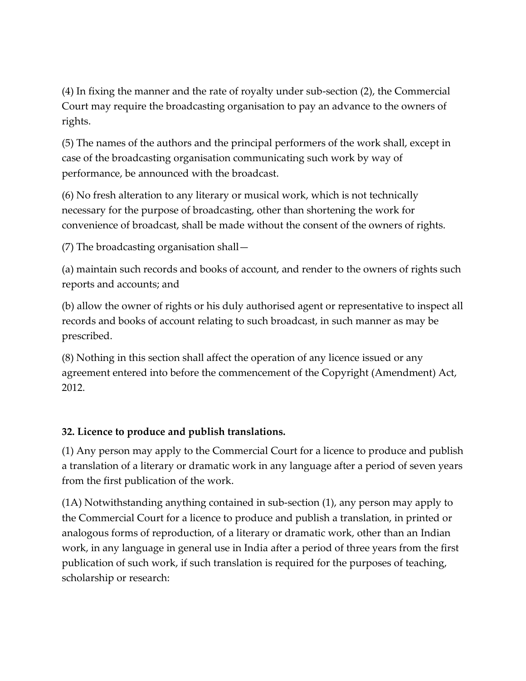(4) In fixing the manner and the rate of royalty under sub-section (2), the Commercial Court may require the broadcasting organisation to pay an advance to the owners of rights.

(5) The names of the authors and the principal performers of the work shall, except in case of the broadcasting organisation communicating such work by way of performance, be announced with the broadcast.

(6) No fresh alteration to any literary or musical work, which is not technically necessary for the purpose of broadcasting, other than shortening the work for convenience of broadcast, shall be made without the consent of the owners of rights.

(7) The broadcasting organisation shall—

(a) maintain such records and books of account, and render to the owners of rights such reports and accounts; and

(b) allow the owner of rights or his duly authorised agent or representative to inspect all records and books of account relating to such broadcast, in such manner as may be prescribed.

(8) Nothing in this section shall affect the operation of any licence issued or any agreement entered into before the commencement of the Copyright (Amendment) Act, 2012.

# **32. Licence to produce and publish translations.**

(1) Any person may apply to the Commercial Court for a licence to produce and publish a translation of a literary or dramatic work in any language after a period of seven years from the first publication of the work.

(1A) Notwithstanding anything contained in sub-section (1), any person may apply to the Commercial Court for a licence to produce and publish a translation, in printed or analogous forms of reproduction, of a literary or dramatic work, other than an Indian work, in any language in general use in India after a period of three years from the first publication of such work, if such translation is required for the purposes of teaching, scholarship or research: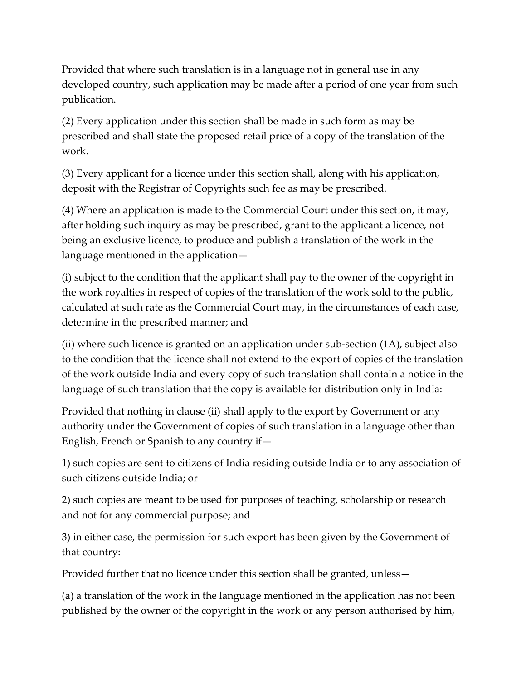Provided that where such translation is in a language not in general use in any developed country, such application may be made after a period of one year from such publication.

(2) Every application under this section shall be made in such form as may be prescribed and shall state the proposed retail price of a copy of the translation of the work.

(3) Every applicant for a licence under this section shall, along with his application, deposit with the Registrar of Copyrights such fee as may be prescribed.

(4) Where an application is made to the Commercial Court under this section, it may, after holding such inquiry as may be prescribed, grant to the applicant a licence, not being an exclusive licence, to produce and publish a translation of the work in the language mentioned in the application—

(i) subject to the condition that the applicant shall pay to the owner of the copyright in the work royalties in respect of copies of the translation of the work sold to the public, calculated at such rate as the Commercial Court may, in the circumstances of each case, determine in the prescribed manner; and

(ii) where such licence is granted on an application under sub-section (1A), subject also to the condition that the licence shall not extend to the export of copies of the translation of the work outside India and every copy of such translation shall contain a notice in the language of such translation that the copy is available for distribution only in India:

Provided that nothing in clause (ii) shall apply to the export by Government or any authority under the Government of copies of such translation in a language other than English, French or Spanish to any country if—

1) such copies are sent to citizens of India residing outside India or to any association of such citizens outside India; or

2) such copies are meant to be used for purposes of teaching, scholarship or research and not for any commercial purpose; and

3) in either case, the permission for such export has been given by the Government of that country:

Provided further that no licence under this section shall be granted, unless—

(a) a translation of the work in the language mentioned in the application has not been published by the owner of the copyright in the work or any person authorised by him,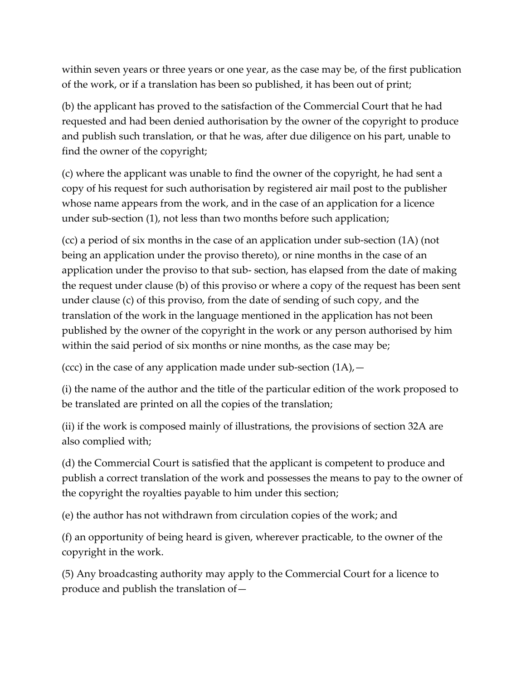within seven years or three years or one year, as the case may be, of the first publication of the work, or if a translation has been so published, it has been out of print;

(b) the applicant has proved to the satisfaction of the Commercial Court that he had requested and had been denied authorisation by the owner of the copyright to produce and publish such translation, or that he was, after due diligence on his part, unable to find the owner of the copyright;

(c) where the applicant was unable to find the owner of the copyright, he had sent a copy of his request for such authorisation by registered air mail post to the publisher whose name appears from the work, and in the case of an application for a licence under sub-section (1), not less than two months before such application;

(cc) a period of six months in the case of an application under sub-section (1A) (not being an application under the proviso thereto), or nine months in the case of an application under the proviso to that sub- section, has elapsed from the date of making the request under clause (b) of this proviso or where a copy of the request has been sent under clause (c) of this proviso, from the date of sending of such copy, and the translation of the work in the language mentioned in the application has not been published by the owner of the copyright in the work or any person authorised by him within the said period of six months or nine months, as the case may be;

(ccc) in the case of any application made under sub-section  $(1A)$ , —

(i) the name of the author and the title of the particular edition of the work proposed to be translated are printed on all the copies of the translation;

(ii) if the work is composed mainly of illustrations, the provisions of section 32A are also complied with;

(d) the Commercial Court is satisfied that the applicant is competent to produce and publish a correct translation of the work and possesses the means to pay to the owner of the copyright the royalties payable to him under this section;

(e) the author has not withdrawn from circulation copies of the work; and

(f) an opportunity of being heard is given, wherever practicable, to the owner of the copyright in the work.

(5) Any broadcasting authority may apply to the Commercial Court for a licence to produce and publish the translation of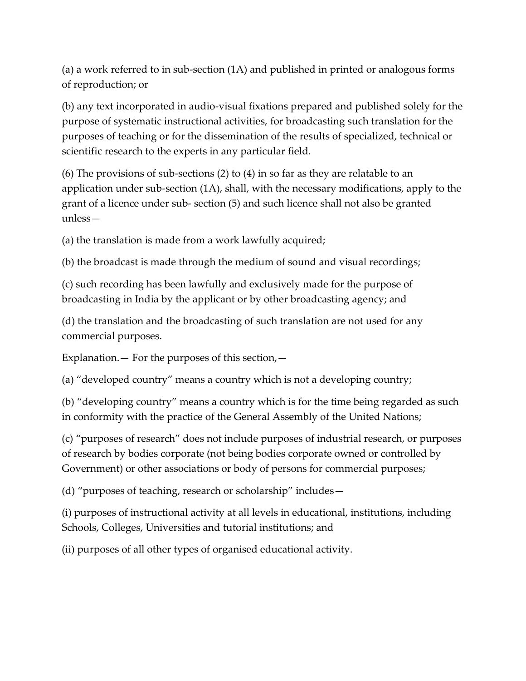(a) a work referred to in sub-section (1A) and published in printed or analogous forms of reproduction; or

(b) any text incorporated in audio-visual fixations prepared and published solely for the purpose of systematic instructional activities, for broadcasting such translation for the purposes of teaching or for the dissemination of the results of specialized, technical or scientific research to the experts in any particular field.

(6) The provisions of sub-sections (2) to (4) in so far as they are relatable to an application under sub-section (1A), shall, with the necessary modifications, apply to the grant of a licence under sub- section (5) and such licence shall not also be granted unless—

(a) the translation is made from a work lawfully acquired;

(b) the broadcast is made through the medium of sound and visual recordings;

(c) such recording has been lawfully and exclusively made for the purpose of broadcasting in India by the applicant or by other broadcasting agency; and

(d) the translation and the broadcasting of such translation are not used for any commercial purposes.

Explanation.  $-$  For the purposes of this section,  $-$ 

(a) "developed country" means a country which is not a developing country;

(b) "developing country" means a country which is for the time being regarded as such in conformity with the practice of the General Assembly of the United Nations;

(c) "purposes of research" does not include purposes of industrial research, or purposes of research by bodies corporate (not being bodies corporate owned or controlled by Government) or other associations or body of persons for commercial purposes;

(d) "purposes of teaching, research or scholarship" includes—

(i) purposes of instructional activity at all levels in educational, institutions, including Schools, Colleges, Universities and tutorial institutions; and

(ii) purposes of all other types of organised educational activity.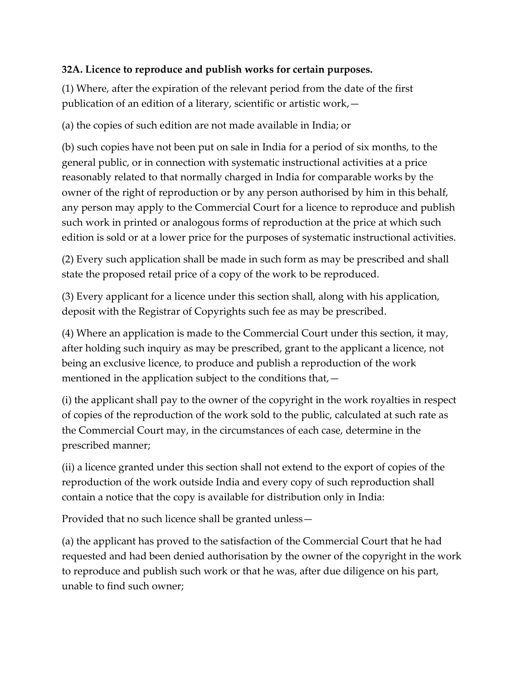## **32A. Licence to reproduce and publish works for certain purposes.**

(1) Where, after the expiration of the relevant period from the date of the first publication of an edition of a literary, scientific or artistic work,—

(a) the copies of such edition are not made available in India; or

(b) such copies have not been put on sale in India for a period of six months, to the general public, or in connection with systematic instructional activities at a price reasonably related to that normally charged in India for comparable works by the owner of the right of reproduction or by any person authorised by him in this behalf, any person may apply to the Commercial Court for a licence to reproduce and publish such work in printed or analogous forms of reproduction at the price at which such edition is sold or at a lower price for the purposes of systematic instructional activities.

(2) Every such application shall be made in such form as may be prescribed and shall state the proposed retail price of a copy of the work to be reproduced.

(3) Every applicant for a licence under this section shall, along with his application, deposit with the Registrar of Copyrights such fee as may be prescribed.

(4) Where an application is made to the Commercial Court under this section, it may, after holding such inquiry as may be prescribed, grant to the applicant a licence, not being an exclusive licence, to produce and publish a reproduction of the work mentioned in the application subject to the conditions that,—

(i) the applicant shall pay to the owner of the copyright in the work royalties in respect of copies of the reproduction of the work sold to the public, calculated at such rate as the Commercial Court may, in the circumstances of each case, determine in the prescribed manner;

(ii) a licence granted under this section shall not extend to the export of copies of the reproduction of the work outside India and every copy of such reproduction shall contain a notice that the copy is available for distribution only in India:

Provided that no such licence shall be granted unless—

(a) the applicant has proved to the satisfaction of the Commercial Court that he had requested and had been denied authorisation by the owner of the copyright in the work to reproduce and publish such work or that he was, after due diligence on his part, unable to find such owner;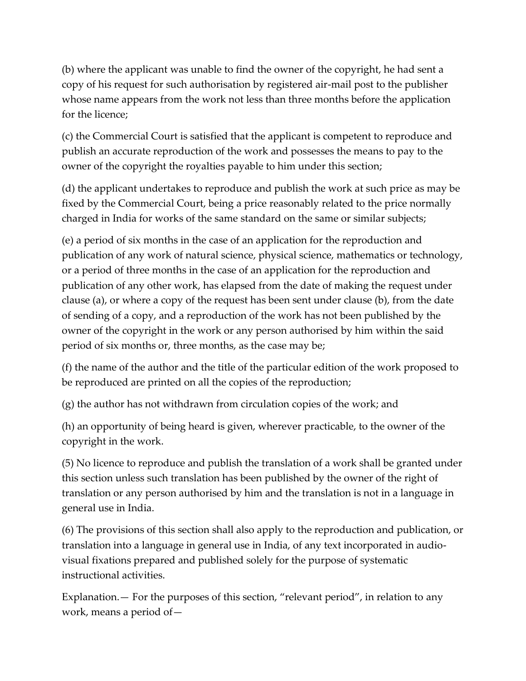(b) where the applicant was unable to find the owner of the copyright, he had sent a copy of his request for such authorisation by registered air-mail post to the publisher whose name appears from the work not less than three months before the application for the licence;

(c) the Commercial Court is satisfied that the applicant is competent to reproduce and publish an accurate reproduction of the work and possesses the means to pay to the owner of the copyright the royalties payable to him under this section;

(d) the applicant undertakes to reproduce and publish the work at such price as may be fixed by the Commercial Court, being a price reasonably related to the price normally charged in India for works of the same standard on the same or similar subjects;

(e) a period of six months in the case of an application for the reproduction and publication of any work of natural science, physical science, mathematics or technology, or a period of three months in the case of an application for the reproduction and publication of any other work, has elapsed from the date of making the request under clause (a), or where a copy of the request has been sent under clause (b), from the date of sending of a copy, and a reproduction of the work has not been published by the owner of the copyright in the work or any person authorised by him within the said period of six months or, three months, as the case may be;

(f) the name of the author and the title of the particular edition of the work proposed to be reproduced are printed on all the copies of the reproduction;

(g) the author has not withdrawn from circulation copies of the work; and

(h) an opportunity of being heard is given, wherever practicable, to the owner of the copyright in the work.

(5) No licence to reproduce and publish the translation of a work shall be granted under this section unless such translation has been published by the owner of the right of translation or any person authorised by him and the translation is not in a language in general use in India.

(6) The provisions of this section shall also apply to the reproduction and publication, or translation into a language in general use in India, of any text incorporated in audiovisual fixations prepared and published solely for the purpose of systematic instructional activities.

Explanation.— For the purposes of this section, "relevant period", in relation to any work, means a period of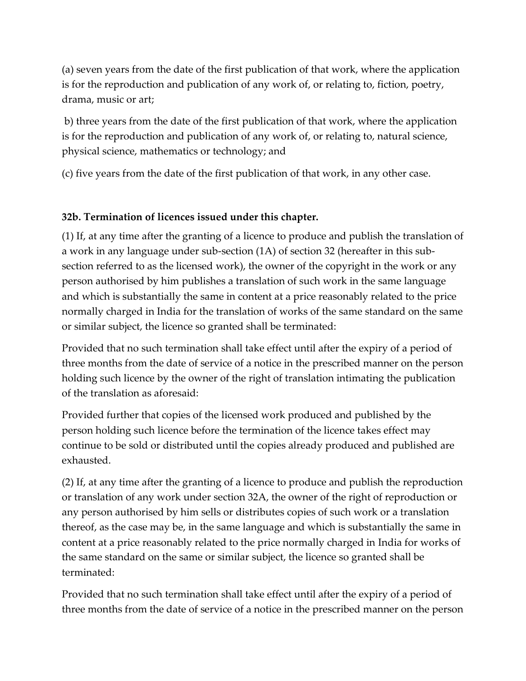(a) seven years from the date of the first publication of that work, where the application is for the reproduction and publication of any work of, or relating to, fiction, poetry, drama, music or art;

b) three years from the date of the first publication of that work, where the application is for the reproduction and publication of any work of, or relating to, natural science, physical science, mathematics or technology; and

(c) five years from the date of the first publication of that work, in any other case.

# **32b. Termination of licences issued under this chapter.**

(1) If, at any time after the granting of a licence to produce and publish the translation of a work in any language under sub-section (1A) of section 32 (hereafter in this subsection referred to as the licensed work), the owner of the copyright in the work or any person authorised by him publishes a translation of such work in the same language and which is substantially the same in content at a price reasonably related to the price normally charged in India for the translation of works of the same standard on the same or similar subject, the licence so granted shall be terminated:

Provided that no such termination shall take effect until after the expiry of a period of three months from the date of service of a notice in the prescribed manner on the person holding such licence by the owner of the right of translation intimating the publication of the translation as aforesaid:

Provided further that copies of the licensed work produced and published by the person holding such licence before the termination of the licence takes effect may continue to be sold or distributed until the copies already produced and published are exhausted.

(2) If, at any time after the granting of a licence to produce and publish the reproduction or translation of any work under section 32A, the owner of the right of reproduction or any person authorised by him sells or distributes copies of such work or a translation thereof, as the case may be, in the same language and which is substantially the same in content at a price reasonably related to the price normally charged in India for works of the same standard on the same or similar subject, the licence so granted shall be terminated:

Provided that no such termination shall take effect until after the expiry of a period of three months from the date of service of a notice in the prescribed manner on the person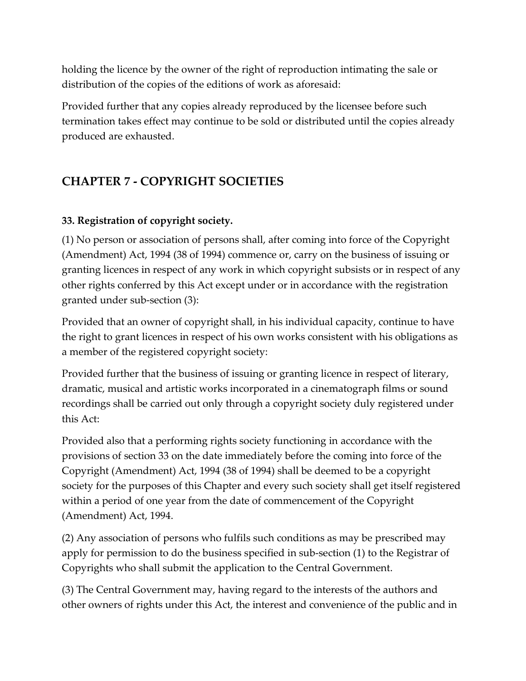holding the licence by the owner of the right of reproduction intimating the sale or distribution of the copies of the editions of work as aforesaid:

Provided further that any copies already reproduced by the licensee before such termination takes effect may continue to be sold or distributed until the copies already produced are exhausted.

# **CHAPTER 7 - COPYRIGHT SOCIETIES**

# **33. Registration of copyright society.**

(1) No person or association of persons shall, after coming into force of the Copyright (Amendment) Act, 1994 (38 of 1994) commence or, carry on the business of issuing or granting licences in respect of any work in which copyright subsists or in respect of any other rights conferred by this Act except under or in accordance with the registration granted under sub-section (3):

Provided that an owner of copyright shall, in his individual capacity, continue to have the right to grant licences in respect of his own works consistent with his obligations as a member of the registered copyright society:

Provided further that the business of issuing or granting licence in respect of literary, dramatic, musical and artistic works incorporated in a cinematograph films or sound recordings shall be carried out only through a copyright society duly registered under this Act:

Provided also that a performing rights society functioning in accordance with the provisions of section 33 on the date immediately before the coming into force of the Copyright (Amendment) Act, 1994 (38 of 1994) shall be deemed to be a copyright society for the purposes of this Chapter and every such society shall get itself registered within a period of one year from the date of commencement of the Copyright (Amendment) Act, 1994.

(2) Any association of persons who fulfils such conditions as may be prescribed may apply for permission to do the business specified in sub-section (1) to the Registrar of Copyrights who shall submit the application to the Central Government.

(3) The Central Government may, having regard to the interests of the authors and other owners of rights under this Act, the interest and convenience of the public and in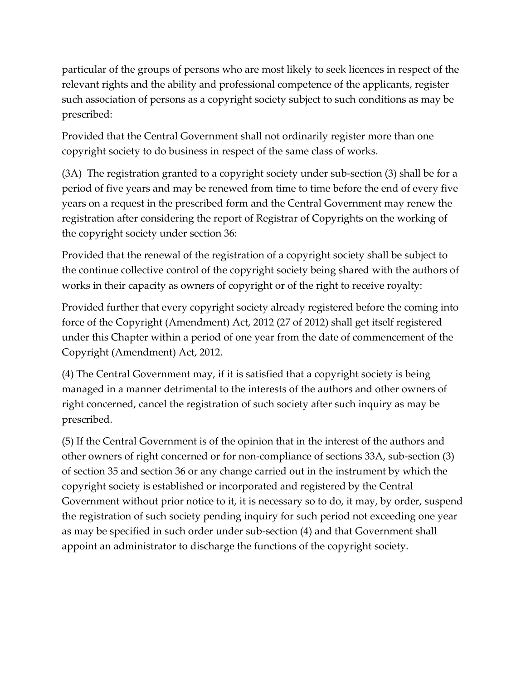particular of the groups of persons who are most likely to seek licences in respect of the relevant rights and the ability and professional competence of the applicants, register such association of persons as a copyright society subject to such conditions as may be prescribed:

Provided that the Central Government shall not ordinarily register more than one copyright society to do business in respect of the same class of works.

(3A) The registration granted to a copyright society under sub-section (3) shall be for a period of five years and may be renewed from time to time before the end of every five years on a request in the prescribed form and the Central Government may renew the registration after considering the report of Registrar of Copyrights on the working of the copyright society under section 36:

Provided that the renewal of the registration of a copyright society shall be subject to the continue collective control of the copyright society being shared with the authors of works in their capacity as owners of copyright or of the right to receive royalty:

Provided further that every copyright society already registered before the coming into force of the Copyright (Amendment) Act, 2012 (27 of 2012) shall get itself registered under this Chapter within a period of one year from the date of commencement of the Copyright (Amendment) Act, 2012.

(4) The Central Government may, if it is satisfied that a copyright society is being managed in a manner detrimental to the interests of the authors and other owners of right concerned, cancel the registration of such society after such inquiry as may be prescribed.

(5) If the Central Government is of the opinion that in the interest of the authors and other owners of right concerned or for non-compliance of sections 33A, sub-section (3) of section 35 and section 36 or any change carried out in the instrument by which the copyright society is established or incorporated and registered by the Central Government without prior notice to it, it is necessary so to do, it may, by order, suspend the registration of such society pending inquiry for such period not exceeding one year as may be specified in such order under sub-section (4) and that Government shall appoint an administrator to discharge the functions of the copyright society.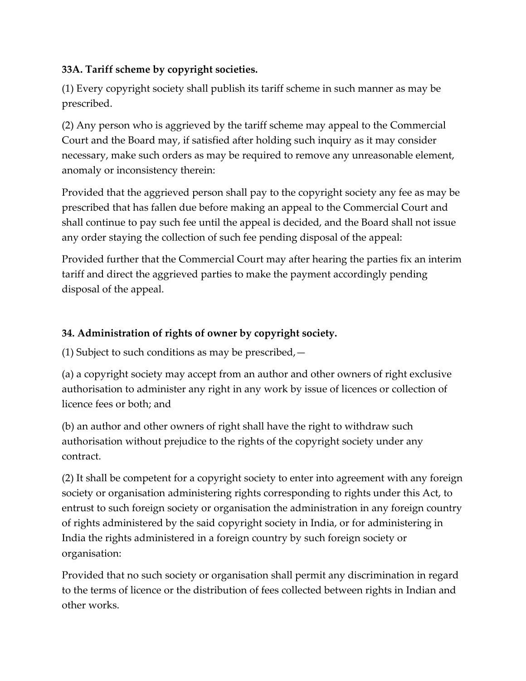# **33A. Tariff scheme by copyright societies.**

(1) Every copyright society shall publish its tariff scheme in such manner as may be prescribed.

(2) Any person who is aggrieved by the tariff scheme may appeal to the Commercial Court and the Board may, if satisfied after holding such inquiry as it may consider necessary, make such orders as may be required to remove any unreasonable element, anomaly or inconsistency therein:

Provided that the aggrieved person shall pay to the copyright society any fee as may be prescribed that has fallen due before making an appeal to the Commercial Court and shall continue to pay such fee until the appeal is decided, and the Board shall not issue any order staying the collection of such fee pending disposal of the appeal:

Provided further that the Commercial Court may after hearing the parties fix an interim tariff and direct the aggrieved parties to make the payment accordingly pending disposal of the appeal.

# **34. Administration of rights of owner by copyright society.**

(1) Subject to such conditions as may be prescribed,—

(a) a copyright society may accept from an author and other owners of right exclusive authorisation to administer any right in any work by issue of licences or collection of licence fees or both; and

(b) an author and other owners of right shall have the right to withdraw such authorisation without prejudice to the rights of the copyright society under any contract.

(2) It shall be competent for a copyright society to enter into agreement with any foreign society or organisation administering rights corresponding to rights under this Act, to entrust to such foreign society or organisation the administration in any foreign country of rights administered by the said copyright society in India, or for administering in India the rights administered in a foreign country by such foreign society or organisation:

Provided that no such society or organisation shall permit any discrimination in regard to the terms of licence or the distribution of fees collected between rights in Indian and other works.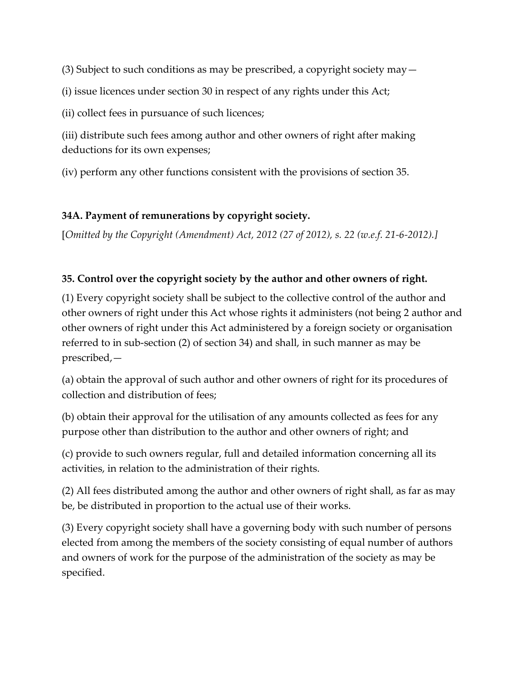(3) Subject to such conditions as may be prescribed, a copyright society may—

(i) issue licences under section 30 in respect of any rights under this Act;

(ii) collect fees in pursuance of such licences;

(iii) distribute such fees among author and other owners of right after making deductions for its own expenses;

(iv) perform any other functions consistent with the provisions of section 35.

## **34A. Payment of remunerations by copyright society.**

[*Omitted by the Copyright (Amendment) Act, 2012 (27 of 2012), s. 22 (w.e.f. 21-6-2012).]*

## **35. Control over the copyright society by the author and other owners of right.**

(1) Every copyright society shall be subject to the collective control of the author and other owners of right under this Act whose rights it administers (not being 2 author and other owners of right under this Act administered by a foreign society or organisation referred to in sub-section (2) of section 34) and shall, in such manner as may be prescribed,—

(a) obtain the approval of such author and other owners of right for its procedures of collection and distribution of fees;

(b) obtain their approval for the utilisation of any amounts collected as fees for any purpose other than distribution to the author and other owners of right; and

(c) provide to such owners regular, full and detailed information concerning all its activities, in relation to the administration of their rights.

(2) All fees distributed among the author and other owners of right shall, as far as may be, be distributed in proportion to the actual use of their works.

(3) Every copyright society shall have a governing body with such number of persons elected from among the members of the society consisting of equal number of authors and owners of work for the purpose of the administration of the society as may be specified.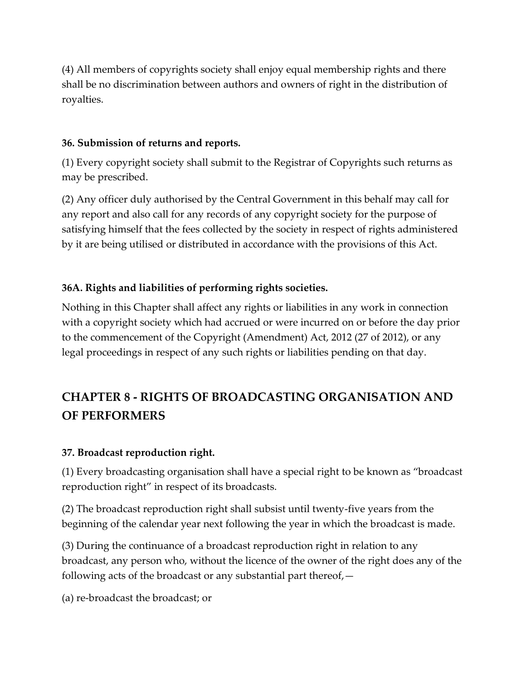(4) All members of copyrights society shall enjoy equal membership rights and there shall be no discrimination between authors and owners of right in the distribution of royalties.

## **36. Submission of returns and reports.**

(1) Every copyright society shall submit to the Registrar of Copyrights such returns as may be prescribed.

(2) Any officer duly authorised by the Central Government in this behalf may call for any report and also call for any records of any copyright society for the purpose of satisfying himself that the fees collected by the society in respect of rights administered by it are being utilised or distributed in accordance with the provisions of this Act.

# **36A. Rights and liabilities of performing rights societies.**

Nothing in this Chapter shall affect any rights or liabilities in any work in connection with a copyright society which had accrued or were incurred on or before the day prior to the commencement of the Copyright (Amendment) Act, 2012 (27 of 2012), or any legal proceedings in respect of any such rights or liabilities pending on that day.

# **CHAPTER 8 - RIGHTS OF BROADCASTING ORGANISATION AND OF PERFORMERS**

# **37. Broadcast reproduction right.**

(1) Every broadcasting organisation shall have a special right to be known as "broadcast reproduction right" in respect of its broadcasts.

(2) The broadcast reproduction right shall subsist until twenty-five years from the beginning of the calendar year next following the year in which the broadcast is made.

(3) During the continuance of a broadcast reproduction right in relation to any broadcast, any person who, without the licence of the owner of the right does any of the following acts of the broadcast or any substantial part thereof,—

(a) re-broadcast the broadcast; or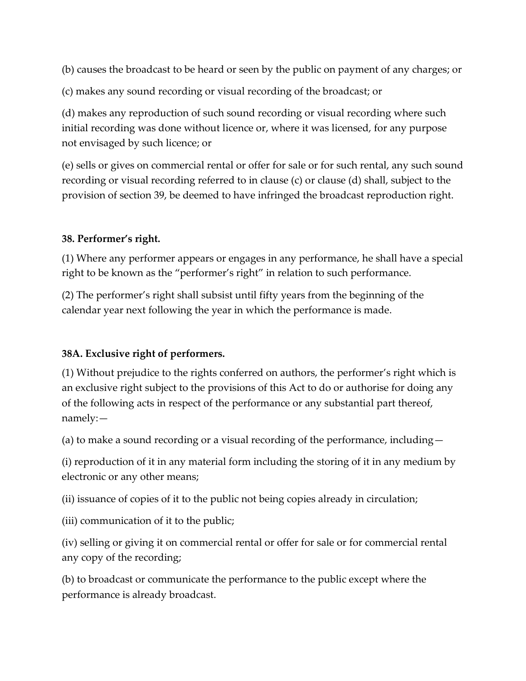(b) causes the broadcast to be heard or seen by the public on payment of any charges; or

(c) makes any sound recording or visual recording of the broadcast; or

(d) makes any reproduction of such sound recording or visual recording where such initial recording was done without licence or, where it was licensed, for any purpose not envisaged by such licence; or

(e) sells or gives on commercial rental or offer for sale or for such rental, any such sound recording or visual recording referred to in clause (c) or clause (d) shall, subject to the provision of section 39, be deemed to have infringed the broadcast reproduction right.

## **38. Performer's right.**

(1) Where any performer appears or engages in any performance, he shall have a special right to be known as the "performer's right" in relation to such performance.

(2) The performer's right shall subsist until fifty years from the beginning of the calendar year next following the year in which the performance is made.

# **38A. Exclusive right of performers.**

(1) Without prejudice to the rights conferred on authors, the performer's right which is an exclusive right subject to the provisions of this Act to do or authorise for doing any of the following acts in respect of the performance or any substantial part thereof, namely:—

(a) to make a sound recording or a visual recording of the performance, including—

(i) reproduction of it in any material form including the storing of it in any medium by electronic or any other means;

(ii) issuance of copies of it to the public not being copies already in circulation;

(iii) communication of it to the public;

(iv) selling or giving it on commercial rental or offer for sale or for commercial rental any copy of the recording;

(b) to broadcast or communicate the performance to the public except where the performance is already broadcast.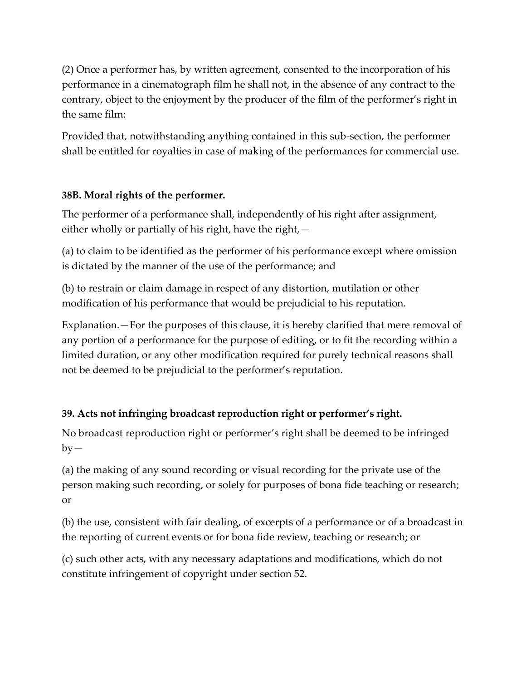(2) Once a performer has, by written agreement, consented to the incorporation of his performance in a cinematograph film he shall not, in the absence of any contract to the contrary, object to the enjoyment by the producer of the film of the performer's right in the same film:

Provided that, notwithstanding anything contained in this sub-section, the performer shall be entitled for royalties in case of making of the performances for commercial use.

# **38B. Moral rights of the performer.**

The performer of a performance shall, independently of his right after assignment, either wholly or partially of his right, have the right,—

(a) to claim to be identified as the performer of his performance except where omission is dictated by the manner of the use of the performance; and

(b) to restrain or claim damage in respect of any distortion, mutilation or other modification of his performance that would be prejudicial to his reputation.

Explanation.—For the purposes of this clause, it is hereby clarified that mere removal of any portion of a performance for the purpose of editing, or to fit the recording within a limited duration, or any other modification required for purely technical reasons shall not be deemed to be prejudicial to the performer's reputation.

# **39. Acts not infringing broadcast reproduction right or performer's right.**

No broadcast reproduction right or performer's right shall be deemed to be infringed  $by-$ 

(a) the making of any sound recording or visual recording for the private use of the person making such recording, or solely for purposes of bona fide teaching or research; or

(b) the use, consistent with fair dealing, of excerpts of a performance or of a broadcast in the reporting of current events or for bona fide review, teaching or research; or

(c) such other acts, with any necessary adaptations and modifications, which do not constitute infringement of copyright under section 52.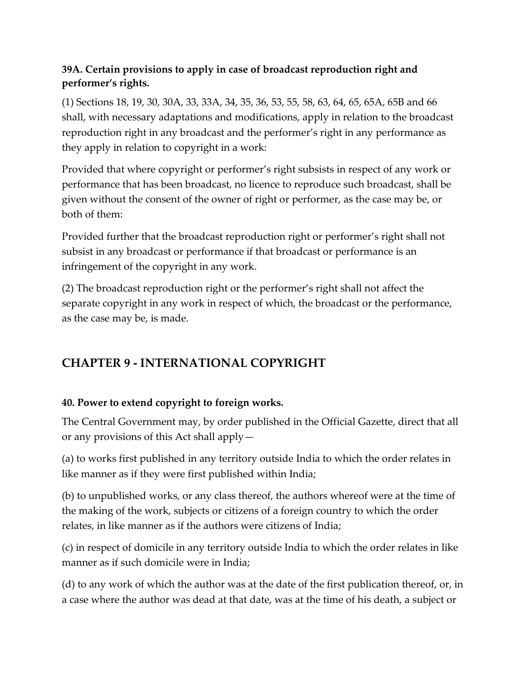# **39A. Certain provisions to apply in case of broadcast reproduction right and performer's rights.**

(1) Sections 18, 19, 30, 30A, 33, 33A, 34, 35, 36, 53, 55, 58, 63, 64, 65, 65A, 65B and 66 shall, with necessary adaptations and modifications, apply in relation to the broadcast reproduction right in any broadcast and the performer's right in any performance as they apply in relation to copyright in a work:

Provided that where copyright or performer's right subsists in respect of any work or performance that has been broadcast, no licence to reproduce such broadcast, shall be given without the consent of the owner of right or performer, as the case may be, or both of them:

Provided further that the broadcast reproduction right or performer's right shall not subsist in any broadcast or performance if that broadcast or performance is an infringement of the copyright in any work.

(2) The broadcast reproduction right or the performer's right shall not affect the separate copyright in any work in respect of which, the broadcast or the performance, as the case may be, is made.

# **CHAPTER 9 - INTERNATIONAL COPYRIGHT**

# **40. Power to extend copyright to foreign works.**

The Central Government may, by order published in the Official Gazette, direct that all or any provisions of this Act shall apply—

(a) to works first published in any territory outside India to which the order relates in like manner as if they were first published within India;

(b) to unpublished works, or any class thereof, the authors whereof were at the time of the making of the work, subjects or citizens of a foreign country to which the order relates, in like manner as if the authors were citizens of India;

(c) in respect of domicile in any territory outside India to which the order relates in like manner as if such domicile were in India;

(d) to any work of which the author was at the date of the first publication thereof, or, in a case where the author was dead at that date, was at the time of his death, a subject or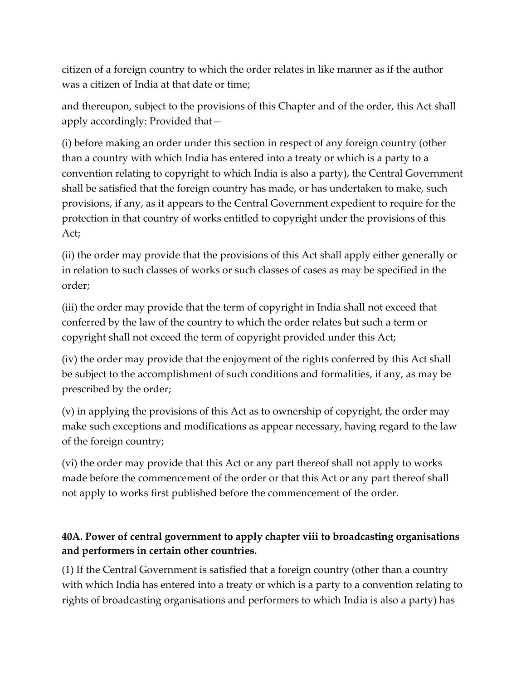citizen of a foreign country to which the order relates in like manner as if the author was a citizen of India at that date or time;

and thereupon, subject to the provisions of this Chapter and of the order, this Act shall apply accordingly: Provided that—

(i) before making an order under this section in respect of any foreign country (other than a country with which India has entered into a treaty or which is a party to a convention relating to copyright to which India is also a party), the Central Government shall be satisfied that the foreign country has made, or has undertaken to make, such provisions, if any, as it appears to the Central Government expedient to require for the protection in that country of works entitled to copyright under the provisions of this Act;

(ii) the order may provide that the provisions of this Act shall apply either generally or in relation to such classes of works or such classes of cases as may be specified in the order;

(iii) the order may provide that the term of copyright in India shall not exceed that conferred by the law of the country to which the order relates but such a term or copyright shall not exceed the term of copyright provided under this Act;

(iv) the order may provide that the enjoyment of the rights conferred by this Act shall be subject to the accomplishment of such conditions and formalities, if any, as may be prescribed by the order;

(v) in applying the provisions of this Act as to ownership of copyright, the order may make such exceptions and modifications as appear necessary, having regard to the law of the foreign country;

(vi) the order may provide that this Act or any part thereof shall not apply to works made before the commencement of the order or that this Act or any part thereof shall not apply to works first published before the commencement of the order.

# **40A. Power of central government to apply chapter viii to broadcasting organisations and performers in certain other countries.**

(1) If the Central Government is satisfied that a foreign country (other than a country with which India has entered into a treaty or which is a party to a convention relating to rights of broadcasting organisations and performers to which India is also a party) has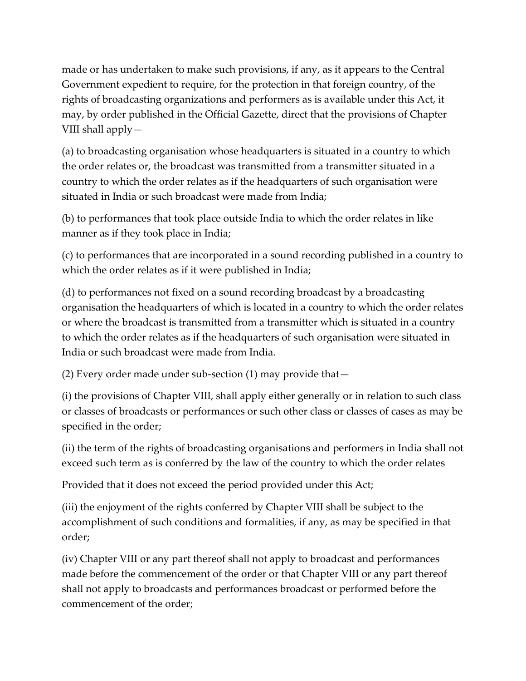made or has undertaken to make such provisions, if any, as it appears to the Central Government expedient to require, for the protection in that foreign country, of the rights of broadcasting organizations and performers as is available under this Act, it may, by order published in the Official Gazette, direct that the provisions of Chapter VIII shall apply—

(a) to broadcasting organisation whose headquarters is situated in a country to which the order relates or, the broadcast was transmitted from a transmitter situated in a country to which the order relates as if the headquarters of such organisation were situated in India or such broadcast were made from India;

(b) to performances that took place outside India to which the order relates in like manner as if they took place in India;

(c) to performances that are incorporated in a sound recording published in a country to which the order relates as if it were published in India;

(d) to performances not fixed on a sound recording broadcast by a broadcasting organisation the headquarters of which is located in a country to which the order relates or where the broadcast is transmitted from a transmitter which is situated in a country to which the order relates as if the headquarters of such organisation were situated in India or such broadcast were made from India.

(2) Every order made under sub-section (1) may provide that—

(i) the provisions of Chapter VIII, shall apply either generally or in relation to such class or classes of broadcasts or performances or such other class or classes of cases as may be specified in the order;

(ii) the term of the rights of broadcasting organisations and performers in India shall not exceed such term as is conferred by the law of the country to which the order relates

Provided that it does not exceed the period provided under this Act;

(iii) the enjoyment of the rights conferred by Chapter VIII shall be subject to the accomplishment of such conditions and formalities, if any, as may be specified in that order;

(iv) Chapter VIII or any part thereof shall not apply to broadcast and performances made before the commencement of the order or that Chapter VIII or any part thereof shall not apply to broadcasts and performances broadcast or performed before the commencement of the order;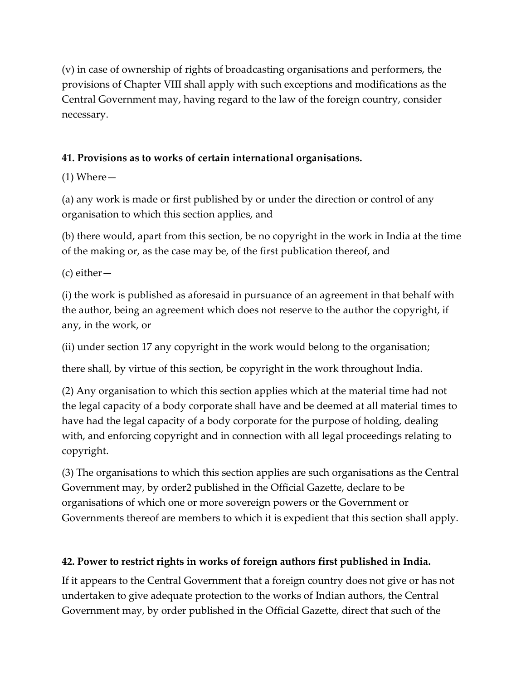(v) in case of ownership of rights of broadcasting organisations and performers, the provisions of Chapter VIII shall apply with such exceptions and modifications as the Central Government may, having regard to the law of the foreign country, consider necessary.

# **41. Provisions as to works of certain international organisations.**

 $(1)$  Where —

(a) any work is made or first published by or under the direction or control of any organisation to which this section applies, and

(b) there would, apart from this section, be no copyright in the work in India at the time of the making or, as the case may be, of the first publication thereof, and

(c) either—

(i) the work is published as aforesaid in pursuance of an agreement in that behalf with the author, being an agreement which does not reserve to the author the copyright, if any, in the work, or

(ii) under section 17 any copyright in the work would belong to the organisation;

there shall, by virtue of this section, be copyright in the work throughout India.

(2) Any organisation to which this section applies which at the material time had not the legal capacity of a body corporate shall have and be deemed at all material times to have had the legal capacity of a body corporate for the purpose of holding, dealing with, and enforcing copyright and in connection with all legal proceedings relating to copyright.

(3) The organisations to which this section applies are such organisations as the Central Government may, by order2 published in the Official Gazette, declare to be organisations of which one or more sovereign powers or the Government or Governments thereof are members to which it is expedient that this section shall apply.

# **42. Power to restrict rights in works of foreign authors first published in India.**

If it appears to the Central Government that a foreign country does not give or has not undertaken to give adequate protection to the works of Indian authors, the Central Government may, by order published in the Official Gazette, direct that such of the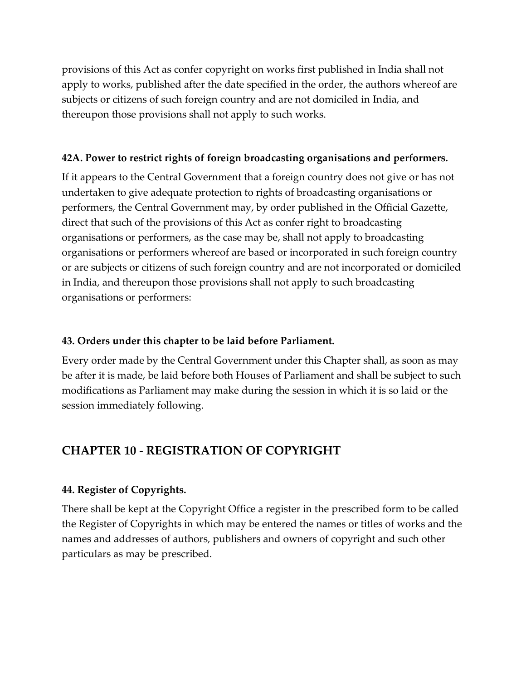provisions of this Act as confer copyright on works first published in India shall not apply to works, published after the date specified in the order, the authors whereof are subjects or citizens of such foreign country and are not domiciled in India, and thereupon those provisions shall not apply to such works.

#### **42A. Power to restrict rights of foreign broadcasting organisations and performers.**

If it appears to the Central Government that a foreign country does not give or has not undertaken to give adequate protection to rights of broadcasting organisations or performers, the Central Government may, by order published in the Official Gazette, direct that such of the provisions of this Act as confer right to broadcasting organisations or performers, as the case may be, shall not apply to broadcasting organisations or performers whereof are based or incorporated in such foreign country or are subjects or citizens of such foreign country and are not incorporated or domiciled in India, and thereupon those provisions shall not apply to such broadcasting organisations or performers:

#### **43. Orders under this chapter to be laid before Parliament.**

Every order made by the Central Government under this Chapter shall, as soon as may be after it is made, be laid before both Houses of Parliament and shall be subject to such modifications as Parliament may make during the session in which it is so laid or the session immediately following.

# **CHAPTER 10 - REGISTRATION OF COPYRIGHT**

### **44. Register of Copyrights.**

There shall be kept at the Copyright Office a register in the prescribed form to be called the Register of Copyrights in which may be entered the names or titles of works and the names and addresses of authors, publishers and owners of copyright and such other particulars as may be prescribed.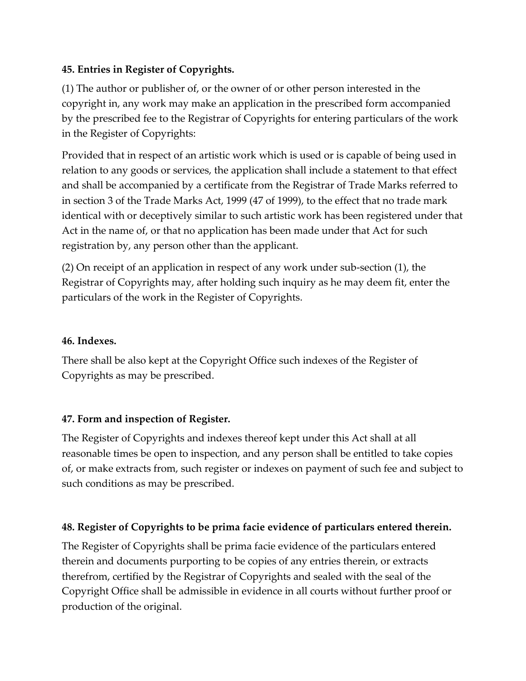# **45. Entries in Register of Copyrights.**

(1) The author or publisher of, or the owner of or other person interested in the copyright in, any work may make an application in the prescribed form accompanied by the prescribed fee to the Registrar of Copyrights for entering particulars of the work in the Register of Copyrights:

Provided that in respect of an artistic work which is used or is capable of being used in relation to any goods or services, the application shall include a statement to that effect and shall be accompanied by a certificate from the Registrar of Trade Marks referred to in section 3 of the Trade Marks Act, 1999 (47 of 1999), to the effect that no trade mark identical with or deceptively similar to such artistic work has been registered under that Act in the name of, or that no application has been made under that Act for such registration by, any person other than the applicant.

(2) On receipt of an application in respect of any work under sub-section (1), the Registrar of Copyrights may, after holding such inquiry as he may deem fit, enter the particulars of the work in the Register of Copyrights.

### **46. Indexes.**

There shall be also kept at the Copyright Office such indexes of the Register of Copyrights as may be prescribed.

### **47. Form and inspection of Register.**

The Register of Copyrights and indexes thereof kept under this Act shall at all reasonable times be open to inspection, and any person shall be entitled to take copies of, or make extracts from, such register or indexes on payment of such fee and subject to such conditions as may be prescribed.

### **48. Register of Copyrights to be prima facie evidence of particulars entered therein.**

The Register of Copyrights shall be prima facie evidence of the particulars entered therein and documents purporting to be copies of any entries therein, or extracts therefrom, certified by the Registrar of Copyrights and sealed with the seal of the Copyright Office shall be admissible in evidence in all courts without further proof or production of the original.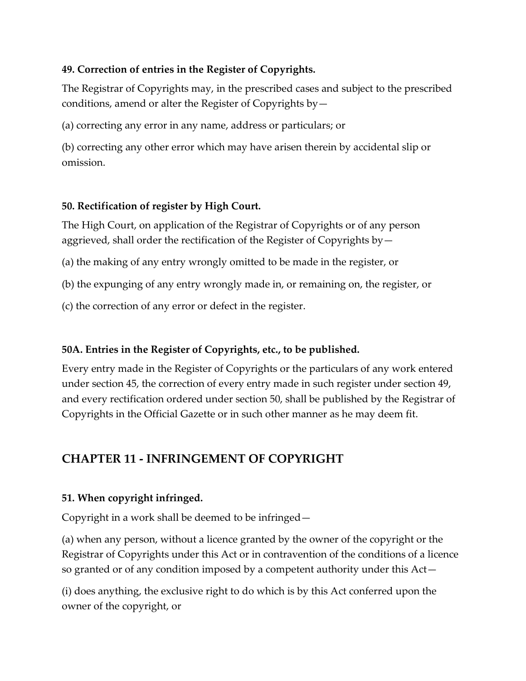## **49. Correction of entries in the Register of Copyrights.**

The Registrar of Copyrights may, in the prescribed cases and subject to the prescribed conditions, amend or alter the Register of Copyrights by—

(a) correcting any error in any name, address or particulars; or

(b) correcting any other error which may have arisen therein by accidental slip or omission.

## **50. Rectification of register by High Court.**

The High Court, on application of the Registrar of Copyrights or of any person aggrieved, shall order the rectification of the Register of Copyrights by—

(a) the making of any entry wrongly omitted to be made in the register, or

- (b) the expunging of any entry wrongly made in, or remaining on, the register, or
- (c) the correction of any error or defect in the register.

# **50A. Entries in the Register of Copyrights, etc., to be published.**

Every entry made in the Register of Copyrights or the particulars of any work entered under section 45, the correction of every entry made in such register under section 49, and every rectification ordered under section 50, shall be published by the Registrar of Copyrights in the Official Gazette or in such other manner as he may deem fit.

# **CHAPTER 11 - INFRINGEMENT OF COPYRIGHT**

# **51. When copyright infringed.**

Copyright in a work shall be deemed to be infringed—

(a) when any person, without a licence granted by the owner of the copyright or the Registrar of Copyrights under this Act or in contravention of the conditions of a licence so granted or of any condition imposed by a competent authority under this Act—

(i) does anything, the exclusive right to do which is by this Act conferred upon the owner of the copyright, or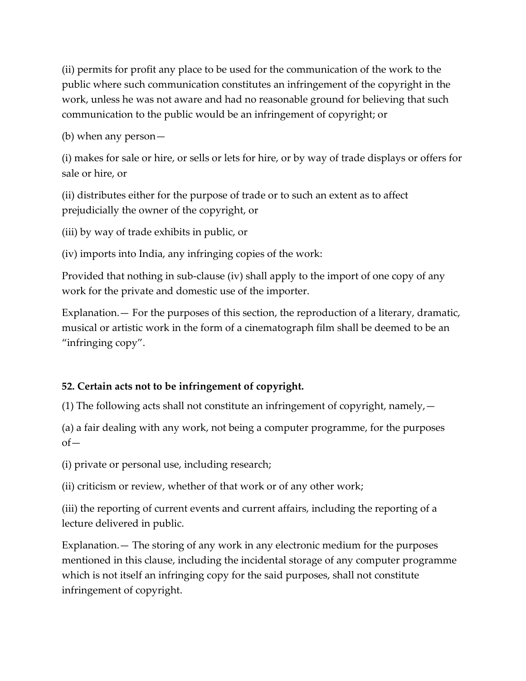(ii) permits for profit any place to be used for the communication of the work to the public where such communication constitutes an infringement of the copyright in the work, unless he was not aware and had no reasonable ground for believing that such communication to the public would be an infringement of copyright; or

(b) when any person—

(i) makes for sale or hire, or sells or lets for hire, or by way of trade displays or offers for sale or hire, or

(ii) distributes either for the purpose of trade or to such an extent as to affect prejudicially the owner of the copyright, or

(iii) by way of trade exhibits in public, or

(iv) imports into India, any infringing copies of the work:

Provided that nothing in sub-clause (iv) shall apply to the import of one copy of any work for the private and domestic use of the importer.

Explanation.— For the purposes of this section, the reproduction of a literary, dramatic, musical or artistic work in the form of a cinematograph film shall be deemed to be an "infringing copy".

# **52. Certain acts not to be infringement of copyright.**

(1) The following acts shall not constitute an infringement of copyright, namely,—

(a) a fair dealing with any work, not being a computer programme, for the purposes  $of$ 

(i) private or personal use, including research;

(ii) criticism or review, whether of that work or of any other work;

(iii) the reporting of current events and current affairs, including the reporting of a lecture delivered in public.

Explanation.— The storing of any work in any electronic medium for the purposes mentioned in this clause, including the incidental storage of any computer programme which is not itself an infringing copy for the said purposes, shall not constitute infringement of copyright.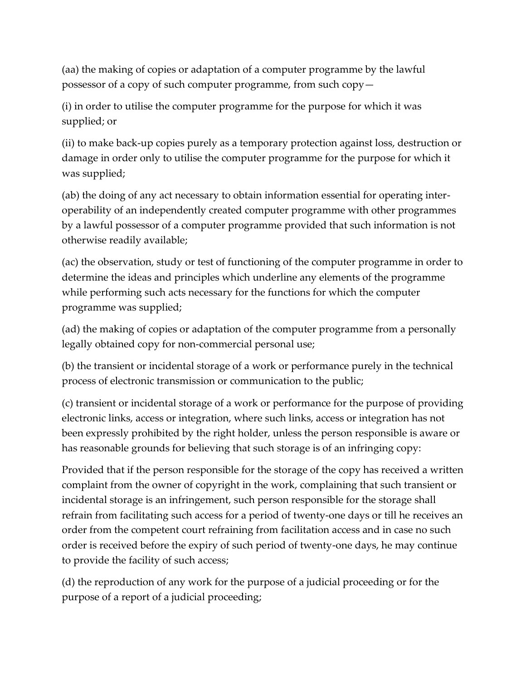(aa) the making of copies or adaptation of a computer programme by the lawful possessor of a copy of such computer programme, from such copy—

(i) in order to utilise the computer programme for the purpose for which it was supplied; or

(ii) to make back-up copies purely as a temporary protection against loss, destruction or damage in order only to utilise the computer programme for the purpose for which it was supplied;

(ab) the doing of any act necessary to obtain information essential for operating interoperability of an independently created computer programme with other programmes by a lawful possessor of a computer programme provided that such information is not otherwise readily available;

(ac) the observation, study or test of functioning of the computer programme in order to determine the ideas and principles which underline any elements of the programme while performing such acts necessary for the functions for which the computer programme was supplied;

(ad) the making of copies or adaptation of the computer programme from a personally legally obtained copy for non-commercial personal use;

(b) the transient or incidental storage of a work or performance purely in the technical process of electronic transmission or communication to the public;

(c) transient or incidental storage of a work or performance for the purpose of providing electronic links, access or integration, where such links, access or integration has not been expressly prohibited by the right holder, unless the person responsible is aware or has reasonable grounds for believing that such storage is of an infringing copy:

Provided that if the person responsible for the storage of the copy has received a written complaint from the owner of copyright in the work, complaining that such transient or incidental storage is an infringement, such person responsible for the storage shall refrain from facilitating such access for a period of twenty-one days or till he receives an order from the competent court refraining from facilitation access and in case no such order is received before the expiry of such period of twenty-one days, he may continue to provide the facility of such access;

(d) the reproduction of any work for the purpose of a judicial proceeding or for the purpose of a report of a judicial proceeding;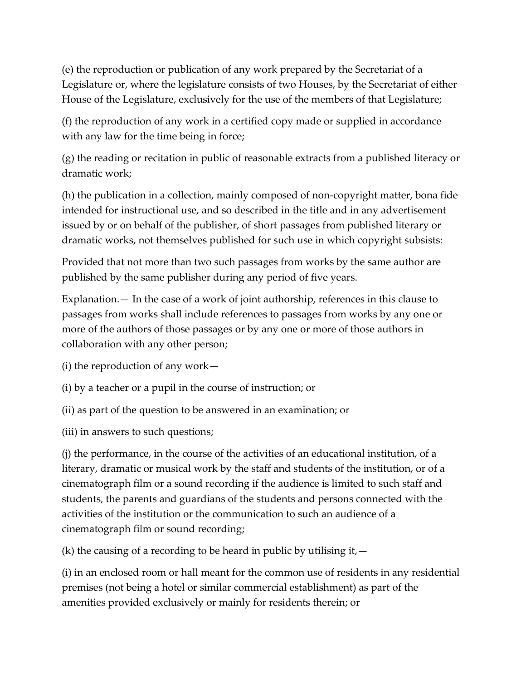(e) the reproduction or publication of any work prepared by the Secretariat of a Legislature or, where the legislature consists of two Houses, by the Secretariat of either House of the Legislature, exclusively for the use of the members of that Legislature;

(f) the reproduction of any work in a certified copy made or supplied in accordance with any law for the time being in force;

(g) the reading or recitation in public of reasonable extracts from a published literacy or dramatic work;

(h) the publication in a collection, mainly composed of non-copyright matter, bona fide intended for instructional use, and so described in the title and in any advertisement issued by or on behalf of the publisher, of short passages from published literary or dramatic works, not themselves published for such use in which copyright subsists:

Provided that not more than two such passages from works by the same author are published by the same publisher during any period of five years.

Explanation.— In the case of a work of joint authorship, references in this clause to passages from works shall include references to passages from works by any one or more of the authors of those passages or by any one or more of those authors in collaboration with any other person;

- (i) the reproduction of any work—
- (i) by a teacher or a pupil in the course of instruction; or
- (ii) as part of the question to be answered in an examination; or
- (iii) in answers to such questions;

(j) the performance, in the course of the activities of an educational institution, of a literary, dramatic or musical work by the staff and students of the institution, or of a cinematograph film or a sound recording if the audience is limited to such staff and students, the parents and guardians of the students and persons connected with the activities of the institution or the communication to such an audience of a cinematograph film or sound recording;

(k) the causing of a recording to be heard in public by utilising it,  $-$ 

(i) in an enclosed room or hall meant for the common use of residents in any residential premises (not being a hotel or similar commercial establishment) as part of the amenities provided exclusively or mainly for residents therein; or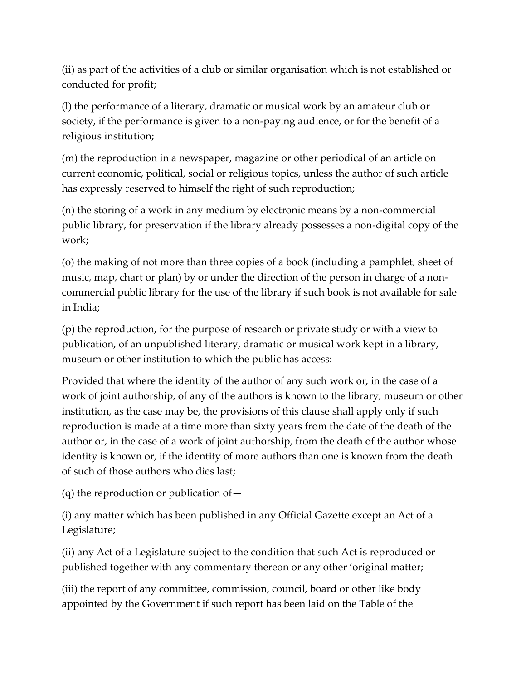(ii) as part of the activities of a club or similar organisation which is not established or conducted for profit;

(l) the performance of a literary, dramatic or musical work by an amateur club or society, if the performance is given to a non-paying audience, or for the benefit of a religious institution;

(m) the reproduction in a newspaper, magazine or other periodical of an article on current economic, political, social or religious topics, unless the author of such article has expressly reserved to himself the right of such reproduction;

(n) the storing of a work in any medium by electronic means by a non-commercial public library, for preservation if the library already possesses a non-digital copy of the work;

(o) the making of not more than three copies of a book (including a pamphlet, sheet of music, map, chart or plan) by or under the direction of the person in charge of a noncommercial public library for the use of the library if such book is not available for sale in India;

(p) the reproduction, for the purpose of research or private study or with a view to publication, of an unpublished literary, dramatic or musical work kept in a library, museum or other institution to which the public has access:

Provided that where the identity of the author of any such work or, in the case of a work of joint authorship, of any of the authors is known to the library, museum or other institution, as the case may be, the provisions of this clause shall apply only if such reproduction is made at a time more than sixty years from the date of the death of the author or, in the case of a work of joint authorship, from the death of the author whose identity is known or, if the identity of more authors than one is known from the death of such of those authors who dies last;

(q) the reproduction or publication of  $-$ 

(i) any matter which has been published in any Official Gazette except an Act of a Legislature;

(ii) any Act of a Legislature subject to the condition that such Act is reproduced or published together with any commentary thereon or any other 'original matter;

(iii) the report of any committee, commission, council, board or other like body appointed by the Government if such report has been laid on the Table of the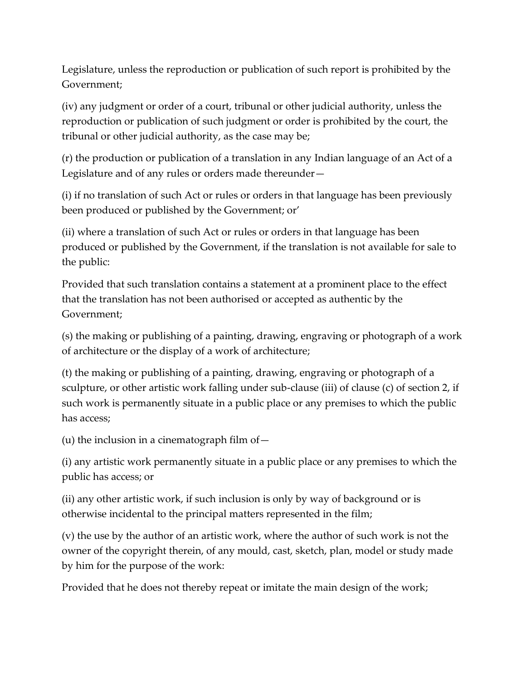Legislature, unless the reproduction or publication of such report is prohibited by the Government;

(iv) any judgment or order of a court, tribunal or other judicial authority, unless the reproduction or publication of such judgment or order is prohibited by the court, the tribunal or other judicial authority, as the case may be;

(r) the production or publication of a translation in any Indian language of an Act of a Legislature and of any rules or orders made thereunder—

(i) if no translation of such Act or rules or orders in that language has been previously been produced or published by the Government; or'

(ii) where a translation of such Act or rules or orders in that language has been produced or published by the Government, if the translation is not available for sale to the public:

Provided that such translation contains a statement at a prominent place to the effect that the translation has not been authorised or accepted as authentic by the Government;

(s) the making or publishing of a painting, drawing, engraving or photograph of a work of architecture or the display of a work of architecture;

(t) the making or publishing of a painting, drawing, engraving or photograph of a sculpture, or other artistic work falling under sub-clause (iii) of clause (c) of section 2, if such work is permanently situate in a public place or any premises to which the public has access;

(u) the inclusion in a cinematograph film of  $-$ 

(i) any artistic work permanently situate in a public place or any premises to which the public has access; or

(ii) any other artistic work, if such inclusion is only by way of background or is otherwise incidental to the principal matters represented in the film;

(v) the use by the author of an artistic work, where the author of such work is not the owner of the copyright therein, of any mould, cast, sketch, plan, model or study made by him for the purpose of the work:

Provided that he does not thereby repeat or imitate the main design of the work;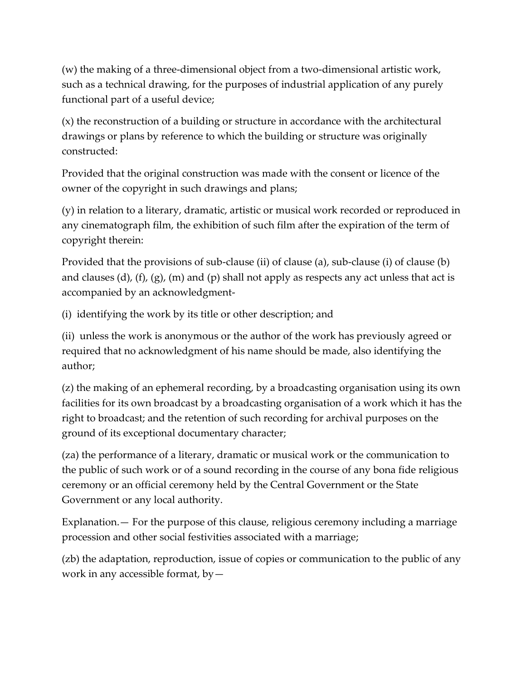(w) the making of a three-dimensional object from a two-dimensional artistic work, such as a technical drawing, for the purposes of industrial application of any purely functional part of a useful device;

(x) the reconstruction of a building or structure in accordance with the architectural drawings or plans by reference to which the building or structure was originally constructed:

Provided that the original construction was made with the consent or licence of the owner of the copyright in such drawings and plans;

(y) in relation to a literary, dramatic, artistic or musical work recorded or reproduced in any cinematograph film, the exhibition of such film after the expiration of the term of copyright therein:

Provided that the provisions of sub-clause (ii) of clause (a), sub-clause (i) of clause (b) and clauses (d), (f), (g), (m) and (p) shall not apply as respects any act unless that act is accompanied by an acknowledgment-

(i) identifying the work by its title or other description; and

(ii) unless the work is anonymous or the author of the work has previously agreed or required that no acknowledgment of his name should be made, also identifying the author;

(z) the making of an ephemeral recording, by a broadcasting organisation using its own facilities for its own broadcast by a broadcasting organisation of a work which it has the right to broadcast; and the retention of such recording for archival purposes on the ground of its exceptional documentary character;

(za) the performance of a literary, dramatic or musical work or the communication to the public of such work or of a sound recording in the course of any bona fide religious ceremony or an official ceremony held by the Central Government or the State Government or any local authority.

Explanation.— For the purpose of this clause, religious ceremony including a marriage procession and other social festivities associated with a marriage;

(zb) the adaptation, reproduction, issue of copies or communication to the public of any work in any accessible format,  $by-$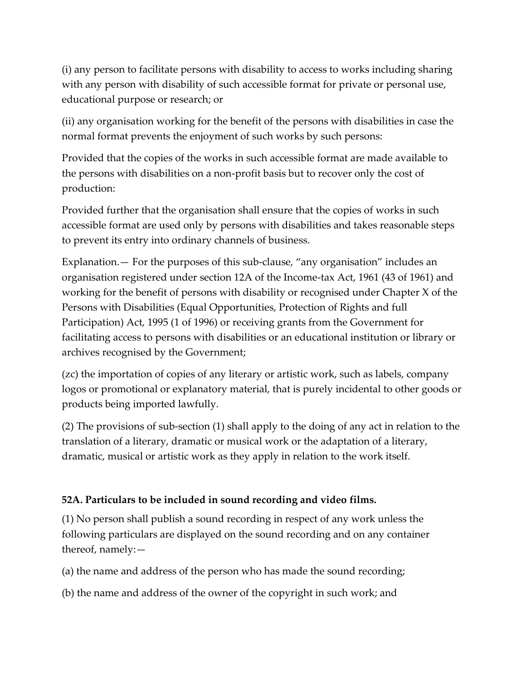(i) any person to facilitate persons with disability to access to works including sharing with any person with disability of such accessible format for private or personal use, educational purpose or research; or

(ii) any organisation working for the benefit of the persons with disabilities in case the normal format prevents the enjoyment of such works by such persons:

Provided that the copies of the works in such accessible format are made available to the persons with disabilities on a non-profit basis but to recover only the cost of production:

Provided further that the organisation shall ensure that the copies of works in such accessible format are used only by persons with disabilities and takes reasonable steps to prevent its entry into ordinary channels of business.

Explanation.— For the purposes of this sub-clause, "any organisation" includes an organisation registered under section 12A of the Income-tax Act, 1961 (43 of 1961) and working for the benefit of persons with disability or recognised under Chapter X of the Persons with Disabilities (Equal Opportunities, Protection of Rights and full Participation) Act, 1995 (1 of 1996) or receiving grants from the Government for facilitating access to persons with disabilities or an educational institution or library or archives recognised by the Government;

(zc) the importation of copies of any literary or artistic work, such as labels, company logos or promotional or explanatory material, that is purely incidental to other goods or products being imported lawfully.

(2) The provisions of sub-section (1) shall apply to the doing of any act in relation to the translation of a literary, dramatic or musical work or the adaptation of a literary, dramatic, musical or artistic work as they apply in relation to the work itself.

### **52A. Particulars to be included in sound recording and video films.**

(1) No person shall publish a sound recording in respect of any work unless the following particulars are displayed on the sound recording and on any container thereof, namely:—

(a) the name and address of the person who has made the sound recording;

(b) the name and address of the owner of the copyright in such work; and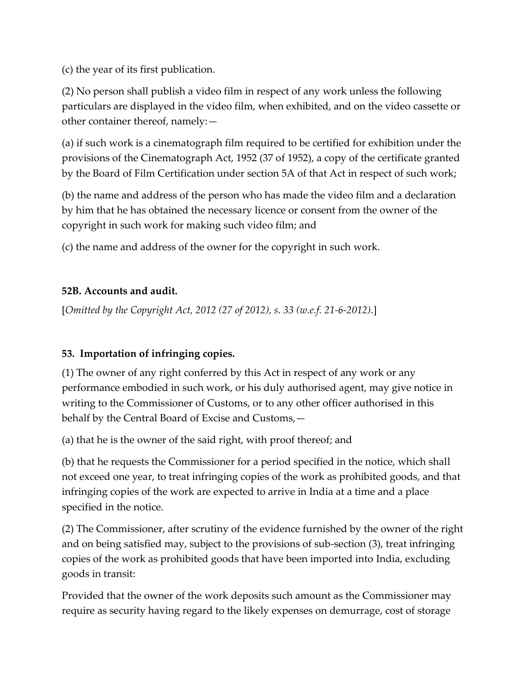(c) the year of its first publication.

(2) No person shall publish a video film in respect of any work unless the following particulars are displayed in the video film, when exhibited, and on the video cassette or other container thereof, namely:—

(a) if such work is a cinematograph film required to be certified for exhibition under the provisions of the Cinematograph Act, 1952 (37 of 1952), a copy of the certificate granted by the Board of Film Certification under section 5A of that Act in respect of such work;

(b) the name and address of the person who has made the video film and a declaration by him that he has obtained the necessary licence or consent from the owner of the copyright in such work for making such video film; and

(c) the name and address of the owner for the copyright in such work.

# **52B. Accounts and audit.**

[*Omitted by the Copyright Act, 2012 (27 of 2012), s. 33 (w.e.f. 21-6-2012)*.]

# **53. Importation of infringing copies.**

(1) The owner of any right conferred by this Act in respect of any work or any performance embodied in such work, or his duly authorised agent, may give notice in writing to the Commissioner of Customs, or to any other officer authorised in this behalf by the Central Board of Excise and Customs,—

(a) that he is the owner of the said right, with proof thereof; and

(b) that he requests the Commissioner for a period specified in the notice, which shall not exceed one year, to treat infringing copies of the work as prohibited goods, and that infringing copies of the work are expected to arrive in India at a time and a place specified in the notice.

(2) The Commissioner, after scrutiny of the evidence furnished by the owner of the right and on being satisfied may, subject to the provisions of sub-section (3), treat infringing copies of the work as prohibited goods that have been imported into India, excluding goods in transit:

Provided that the owner of the work deposits such amount as the Commissioner may require as security having regard to the likely expenses on demurrage, cost of storage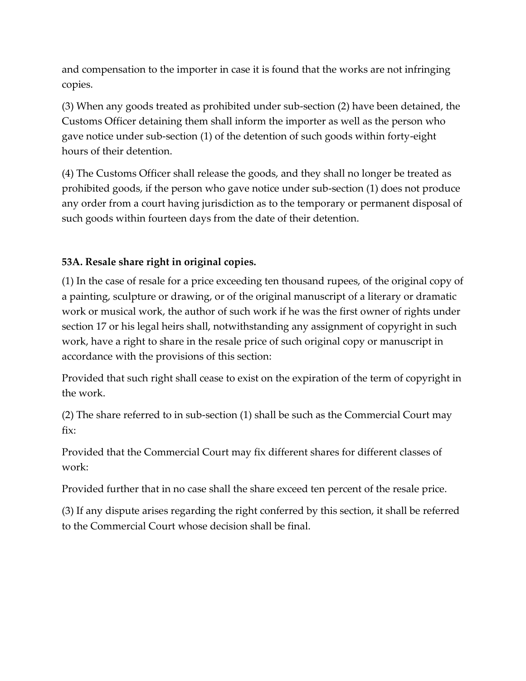and compensation to the importer in case it is found that the works are not infringing copies.

(3) When any goods treated as prohibited under sub-section (2) have been detained, the Customs Officer detaining them shall inform the importer as well as the person who gave notice under sub-section (1) of the detention of such goods within forty-eight hours of their detention.

(4) The Customs Officer shall release the goods, and they shall no longer be treated as prohibited goods, if the person who gave notice under sub-section (1) does not produce any order from a court having jurisdiction as to the temporary or permanent disposal of such goods within fourteen days from the date of their detention.

# **53A. Resale share right in original copies.**

(1) In the case of resale for a price exceeding ten thousand rupees, of the original copy of a painting, sculpture or drawing, or of the original manuscript of a literary or dramatic work or musical work, the author of such work if he was the first owner of rights under section 17 or his legal heirs shall, notwithstanding any assignment of copyright in such work, have a right to share in the resale price of such original copy or manuscript in accordance with the provisions of this section:

Provided that such right shall cease to exist on the expiration of the term of copyright in the work.

(2) The share referred to in sub-section (1) shall be such as the Commercial Court may fix $\cdot$ 

Provided that the Commercial Court may fix different shares for different classes of work:

Provided further that in no case shall the share exceed ten percent of the resale price.

(3) If any dispute arises regarding the right conferred by this section, it shall be referred to the Commercial Court whose decision shall be final.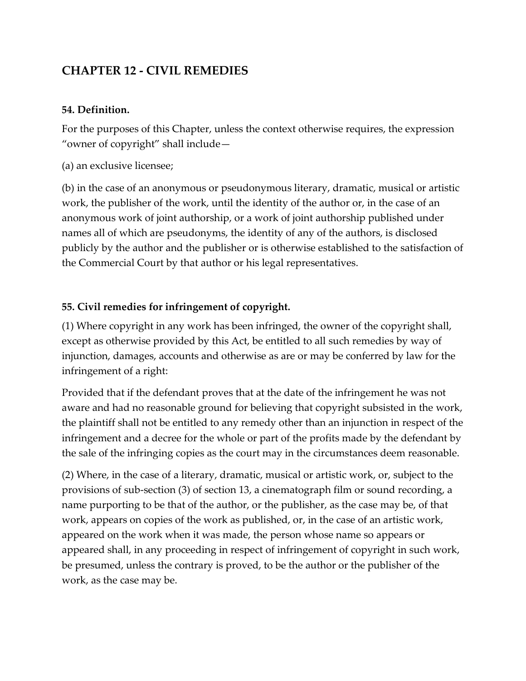# **CHAPTER 12 - CIVIL REMEDIES**

### **54. Definition.**

For the purposes of this Chapter, unless the context otherwise requires, the expression "owner of copyright" shall include—

(a) an exclusive licensee;

(b) in the case of an anonymous or pseudonymous literary, dramatic, musical or artistic work, the publisher of the work, until the identity of the author or, in the case of an anonymous work of joint authorship, or a work of joint authorship published under names all of which are pseudonyms, the identity of any of the authors, is disclosed publicly by the author and the publisher or is otherwise established to the satisfaction of the Commercial Court by that author or his legal representatives.

## **55. Civil remedies for infringement of copyright.**

(1) Where copyright in any work has been infringed, the owner of the copyright shall, except as otherwise provided by this Act, be entitled to all such remedies by way of injunction, damages, accounts and otherwise as are or may be conferred by law for the infringement of a right:

Provided that if the defendant proves that at the date of the infringement he was not aware and had no reasonable ground for believing that copyright subsisted in the work, the plaintiff shall not be entitled to any remedy other than an injunction in respect of the infringement and a decree for the whole or part of the profits made by the defendant by the sale of the infringing copies as the court may in the circumstances deem reasonable.

(2) Where, in the case of a literary, dramatic, musical or artistic work, or, subject to the provisions of sub-section (3) of section 13, a cinematograph film or sound recording, a name purporting to be that of the author, or the publisher, as the case may be, of that work, appears on copies of the work as published, or, in the case of an artistic work, appeared on the work when it was made, the person whose name so appears or appeared shall, in any proceeding in respect of infringement of copyright in such work, be presumed, unless the contrary is proved, to be the author or the publisher of the work, as the case may be.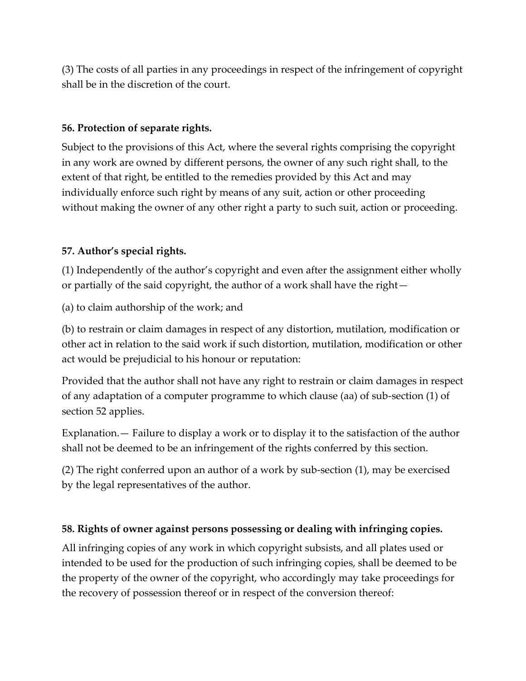(3) The costs of all parties in any proceedings in respect of the infringement of copyright shall be in the discretion of the court.

## **56. Protection of separate rights.**

Subject to the provisions of this Act, where the several rights comprising the copyright in any work are owned by different persons, the owner of any such right shall, to the extent of that right, be entitled to the remedies provided by this Act and may individually enforce such right by means of any suit, action or other proceeding without making the owner of any other right a party to such suit, action or proceeding.

# **57. Author's special rights.**

(1) Independently of the author's copyright and even after the assignment either wholly or partially of the said copyright, the author of a work shall have the right—

(a) to claim authorship of the work; and

(b) to restrain or claim damages in respect of any distortion, mutilation, modification or other act in relation to the said work if such distortion, mutilation, modification or other act would be prejudicial to his honour or reputation:

Provided that the author shall not have any right to restrain or claim damages in respect of any adaptation of a computer programme to which clause (aa) of sub-section (1) of section 52 applies.

Explanation.— Failure to display a work or to display it to the satisfaction of the author shall not be deemed to be an infringement of the rights conferred by this section.

(2) The right conferred upon an author of a work by sub-section (1), may be exercised by the legal representatives of the author.

### **58. Rights of owner against persons possessing or dealing with infringing copies.**

All infringing copies of any work in which copyright subsists, and all plates used or intended to be used for the production of such infringing copies, shall be deemed to be the property of the owner of the copyright, who accordingly may take proceedings for the recovery of possession thereof or in respect of the conversion thereof: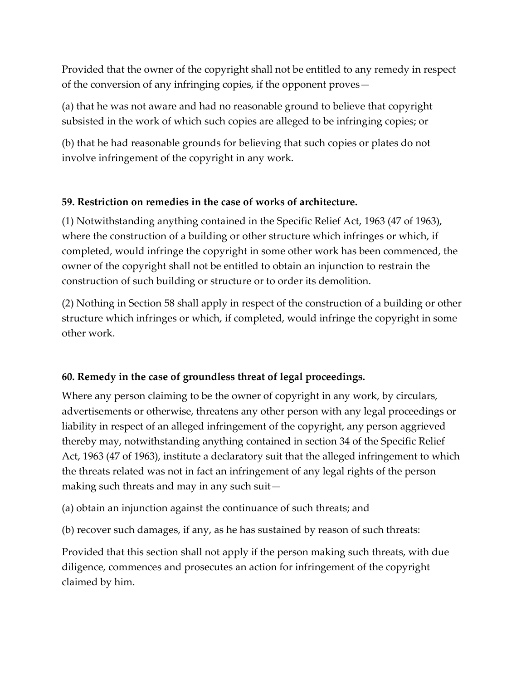Provided that the owner of the copyright shall not be entitled to any remedy in respect of the conversion of any infringing copies, if the opponent proves—

(a) that he was not aware and had no reasonable ground to believe that copyright subsisted in the work of which such copies are alleged to be infringing copies; or

(b) that he had reasonable grounds for believing that such copies or plates do not involve infringement of the copyright in any work.

## **59. Restriction on remedies in the case of works of architecture.**

(1) Notwithstanding anything contained in the Specific Relief Act, 1963 (47 of 1963), where the construction of a building or other structure which infringes or which, if completed, would infringe the copyright in some other work has been commenced, the owner of the copyright shall not be entitled to obtain an injunction to restrain the construction of such building or structure or to order its demolition.

(2) Nothing in Section 58 shall apply in respect of the construction of a building or other structure which infringes or which, if completed, would infringe the copyright in some other work.

# **60. Remedy in the case of groundless threat of legal proceedings.**

Where any person claiming to be the owner of copyright in any work, by circulars, advertisements or otherwise, threatens any other person with any legal proceedings or liability in respect of an alleged infringement of the copyright, any person aggrieved thereby may, notwithstanding anything contained in section 34 of the Specific Relief Act, 1963 (47 of 1963), institute a declaratory suit that the alleged infringement to which the threats related was not in fact an infringement of any legal rights of the person making such threats and may in any such suit—

- (a) obtain an injunction against the continuance of such threats; and
- (b) recover such damages, if any, as he has sustained by reason of such threats:

Provided that this section shall not apply if the person making such threats, with due diligence, commences and prosecutes an action for infringement of the copyright claimed by him.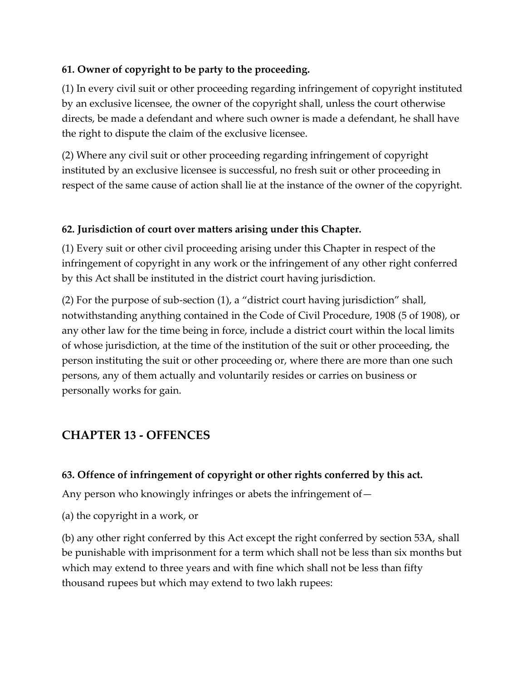# **61. Owner of copyright to be party to the proceeding.**

(1) In every civil suit or other proceeding regarding infringement of copyright instituted by an exclusive licensee, the owner of the copyright shall, unless the court otherwise directs, be made a defendant and where such owner is made a defendant, he shall have the right to dispute the claim of the exclusive licensee.

(2) Where any civil suit or other proceeding regarding infringement of copyright instituted by an exclusive licensee is successful, no fresh suit or other proceeding in respect of the same cause of action shall lie at the instance of the owner of the copyright.

# **62. Jurisdiction of court over matters arising under this Chapter.**

(1) Every suit or other civil proceeding arising under this Chapter in respect of the infringement of copyright in any work or the infringement of any other right conferred by this Act shall be instituted in the district court having jurisdiction.

(2) For the purpose of sub-section (1), a "district court having jurisdiction" shall, notwithstanding anything contained in the Code of Civil Procedure, 1908 (5 of 1908), or any other law for the time being in force, include a district court within the local limits of whose jurisdiction, at the time of the institution of the suit or other proceeding, the person instituting the suit or other proceeding or, where there are more than one such persons, any of them actually and voluntarily resides or carries on business or personally works for gain.

# **CHAPTER 13 - OFFENCES**

# **63. Offence of infringement of copyright or other rights conferred by this act.**

Any person who knowingly infringes or abets the infringement of—

(a) the copyright in a work, or

(b) any other right conferred by this Act except the right conferred by section 53A, shall be punishable with imprisonment for a term which shall not be less than six months but which may extend to three years and with fine which shall not be less than fifty thousand rupees but which may extend to two lakh rupees: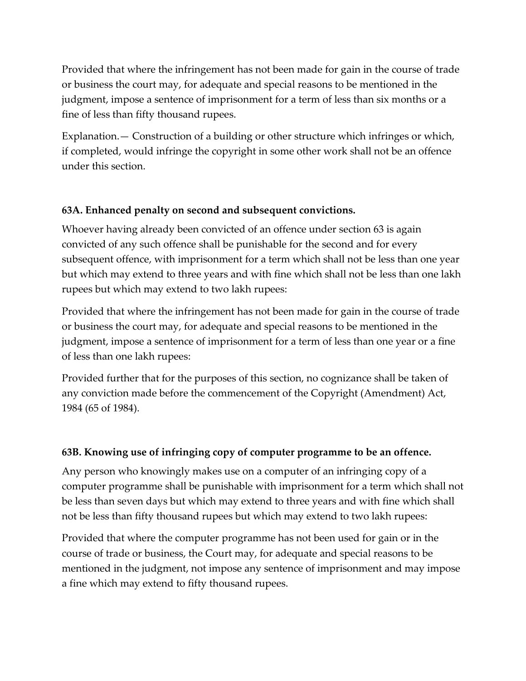Provided that where the infringement has not been made for gain in the course of trade or business the court may, for adequate and special reasons to be mentioned in the judgment, impose a sentence of imprisonment for a term of less than six months or a fine of less than fifty thousand rupees.

Explanation.— Construction of a building or other structure which infringes or which, if completed, would infringe the copyright in some other work shall not be an offence under this section.

# **63A. Enhanced penalty on second and subsequent convictions.**

Whoever having already been convicted of an offence under section 63 is again convicted of any such offence shall be punishable for the second and for every subsequent offence, with imprisonment for a term which shall not be less than one year but which may extend to three years and with fine which shall not be less than one lakh rupees but which may extend to two lakh rupees:

Provided that where the infringement has not been made for gain in the course of trade or business the court may, for adequate and special reasons to be mentioned in the judgment, impose a sentence of imprisonment for a term of less than one year or a fine of less than one lakh rupees:

Provided further that for the purposes of this section, no cognizance shall be taken of any conviction made before the commencement of the Copyright (Amendment) Act, 1984 (65 of 1984).

# **63B. Knowing use of infringing copy of computer programme to be an offence.**

Any person who knowingly makes use on a computer of an infringing copy of a computer programme shall be punishable with imprisonment for a term which shall not be less than seven days but which may extend to three years and with fine which shall not be less than fifty thousand rupees but which may extend to two lakh rupees:

Provided that where the computer programme has not been used for gain or in the course of trade or business, the Court may, for adequate and special reasons to be mentioned in the judgment, not impose any sentence of imprisonment and may impose a fine which may extend to fifty thousand rupees.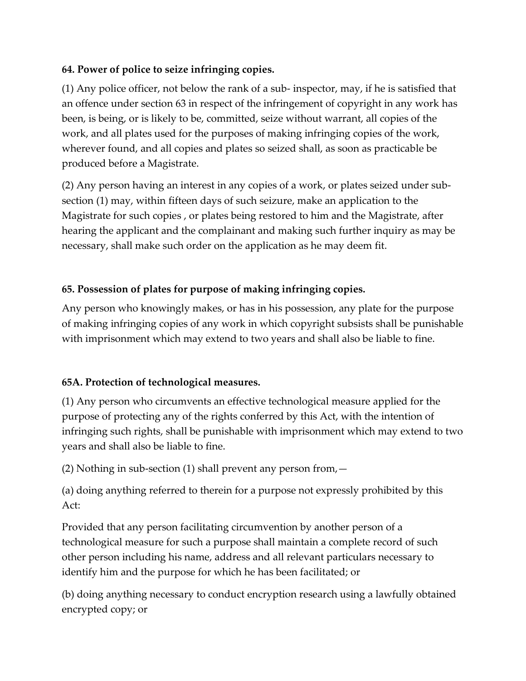# **64. Power of police to seize infringing copies.**

(1) Any police officer, not below the rank of a sub- inspector, may, if he is satisfied that an offence under section 63 in respect of the infringement of copyright in any work has been, is being, or is likely to be, committed, seize without warrant, all copies of the work, and all plates used for the purposes of making infringing copies of the work, wherever found, and all copies and plates so seized shall, as soon as practicable be produced before a Magistrate.

(2) Any person having an interest in any copies of a work, or plates seized under subsection (1) may, within fifteen days of such seizure, make an application to the Magistrate for such copies , or plates being restored to him and the Magistrate, after hearing the applicant and the complainant and making such further inquiry as may be necessary, shall make such order on the application as he may deem fit.

# **65. Possession of plates for purpose of making infringing copies.**

Any person who knowingly makes, or has in his possession, any plate for the purpose of making infringing copies of any work in which copyright subsists shall be punishable with imprisonment which may extend to two years and shall also be liable to fine.

# **65A. Protection of technological measures.**

(1) Any person who circumvents an effective technological measure applied for the purpose of protecting any of the rights conferred by this Act, with the intention of infringing such rights, shall be punishable with imprisonment which may extend to two years and shall also be liable to fine.

(2) Nothing in sub-section (1) shall prevent any person from,—

(a) doing anything referred to therein for a purpose not expressly prohibited by this Act:

Provided that any person facilitating circumvention by another person of a technological measure for such a purpose shall maintain a complete record of such other person including his name, address and all relevant particulars necessary to identify him and the purpose for which he has been facilitated; or

(b) doing anything necessary to conduct encryption research using a lawfully obtained encrypted copy; or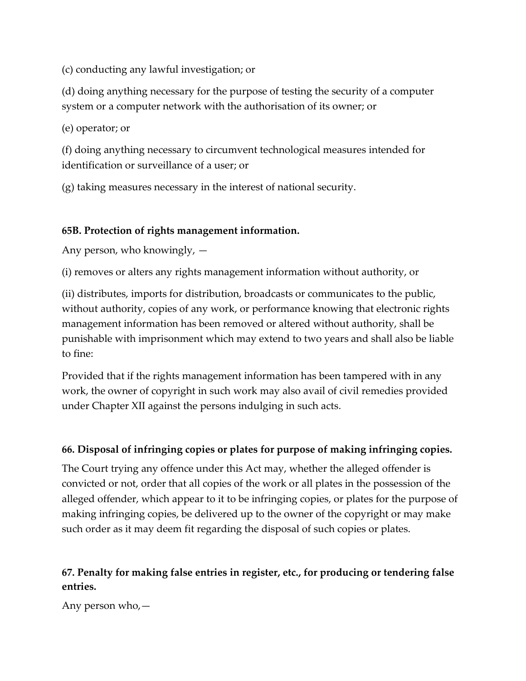(c) conducting any lawful investigation; or

(d) doing anything necessary for the purpose of testing the security of a computer system or a computer network with the authorisation of its owner; or

(e) operator; or

(f) doing anything necessary to circumvent technological measures intended for identification or surveillance of a user; or

(g) taking measures necessary in the interest of national security.

## **65B. Protection of rights management information.**

Any person, who knowingly, —

(i) removes or alters any rights management information without authority, or

(ii) distributes, imports for distribution, broadcasts or communicates to the public, without authority, copies of any work, or performance knowing that electronic rights management information has been removed or altered without authority, shall be punishable with imprisonment which may extend to two years and shall also be liable to fine:

Provided that if the rights management information has been tampered with in any work, the owner of copyright in such work may also avail of civil remedies provided under Chapter XII against the persons indulging in such acts.

# **66. Disposal of infringing copies or plates for purpose of making infringing copies.**

The Court trying any offence under this Act may, whether the alleged offender is convicted or not, order that all copies of the work or all plates in the possession of the alleged offender, which appear to it to be infringing copies, or plates for the purpose of making infringing copies, be delivered up to the owner of the copyright or may make such order as it may deem fit regarding the disposal of such copies or plates.

# **67. Penalty for making false entries in register, etc., for producing or tendering false entries.**

Any person who,—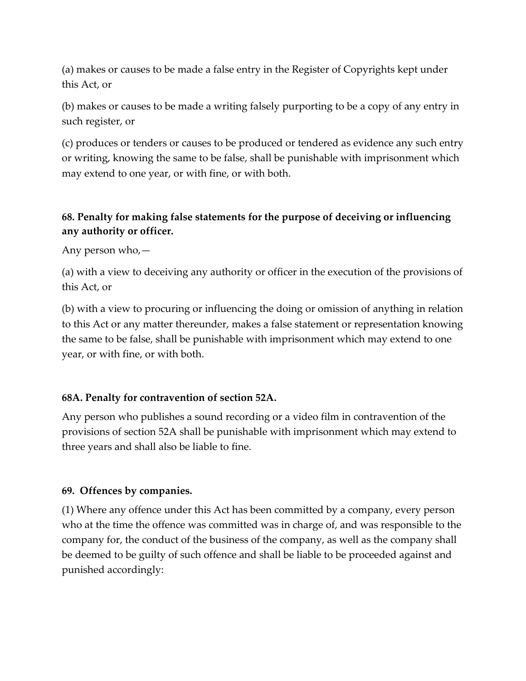(a) makes or causes to be made a false entry in the Register of Copyrights kept under this Act, or

(b) makes or causes to be made a writing falsely purporting to be a copy of any entry in such register, or

(c) produces or tenders or causes to be produced or tendered as evidence any such entry or writing, knowing the same to be false, shall be punishable with imprisonment which may extend to one year, or with fine, or with both.

## **68. Penalty for making false statements for the purpose of deceiving or influencing any authority or officer.**

Any person who,—

(a) with a view to deceiving any authority or officer in the execution of the provisions of this Act, or

(b) with a view to procuring or influencing the doing or omission of anything in relation to this Act or any matter thereunder, makes a false statement or representation knowing the same to be false, shall be punishable with imprisonment which may extend to one year, or with fine, or with both.

### **68A. Penalty for contravention of section 52A.**

Any person who publishes a sound recording or a video film in contravention of the provisions of section 52A shall be punishable with imprisonment which may extend to three years and shall also be liable to fine.

### **69. Offences by companies.**

(1) Where any offence under this Act has been committed by a company, every person who at the time the offence was committed was in charge of, and was responsible to the company for, the conduct of the business of the company, as well as the company shall be deemed to be guilty of such offence and shall be liable to be proceeded against and punished accordingly: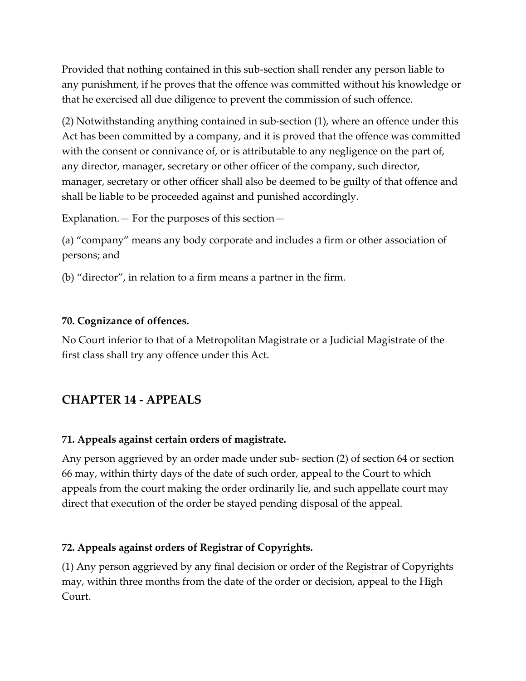Provided that nothing contained in this sub-section shall render any person liable to any punishment, if he proves that the offence was committed without his knowledge or that he exercised all due diligence to prevent the commission of such offence.

(2) Notwithstanding anything contained in sub-section (1), where an offence under this Act has been committed by a company, and it is proved that the offence was committed with the consent or connivance of, or is attributable to any negligence on the part of, any director, manager, secretary or other officer of the company, such director, manager, secretary or other officer shall also be deemed to be guilty of that offence and shall be liable to be proceeded against and punished accordingly.

Explanation.— For the purposes of this section—

(a) "company" means any body corporate and includes a firm or other association of persons; and

(b) "director", in relation to a firm means a partner in the firm.

#### **70. Cognizance of offences.**

No Court inferior to that of a Metropolitan Magistrate or a Judicial Magistrate of the first class shall try any offence under this Act.

### **CHAPTER 14 - APPEALS**

#### **71. Appeals against certain orders of magistrate.**

Any person aggrieved by an order made under sub- section (2) of section 64 or section 66 may, within thirty days of the date of such order, appeal to the Court to which appeals from the court making the order ordinarily lie, and such appellate court may direct that execution of the order be stayed pending disposal of the appeal.

#### **72. Appeals against orders of Registrar of Copyrights.**

(1) Any person aggrieved by any final decision or order of the Registrar of Copyrights may, within three months from the date of the order or decision, appeal to the High Court.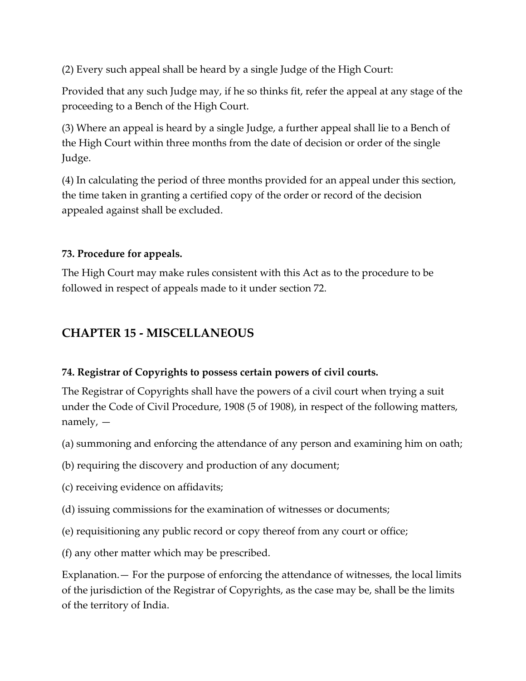(2) Every such appeal shall be heard by a single Judge of the High Court:

Provided that any such Judge may, if he so thinks fit, refer the appeal at any stage of the proceeding to a Bench of the High Court.

(3) Where an appeal is heard by a single Judge, a further appeal shall lie to a Bench of the High Court within three months from the date of decision or order of the single Judge.

(4) In calculating the period of three months provided for an appeal under this section, the time taken in granting a certified copy of the order or record of the decision appealed against shall be excluded.

# **73. Procedure for appeals.**

The High Court may make rules consistent with this Act as to the procedure to be followed in respect of appeals made to it under section 72.

# **CHAPTER 15 - MISCELLANEOUS**

# **74. Registrar of Copyrights to possess certain powers of civil courts.**

The Registrar of Copyrights shall have the powers of a civil court when trying a suit under the Code of Civil Procedure, 1908 (5 of 1908), in respect of the following matters, namely, —

- (a) summoning and enforcing the attendance of any person and examining him on oath;
- (b) requiring the discovery and production of any document;
- (c) receiving evidence on affidavits;
- (d) issuing commissions for the examination of witnesses or documents;
- (e) requisitioning any public record or copy thereof from any court or office;
- (f) any other matter which may be prescribed.

Explanation.— For the purpose of enforcing the attendance of witnesses, the local limits of the jurisdiction of the Registrar of Copyrights, as the case may be, shall be the limits of the territory of India.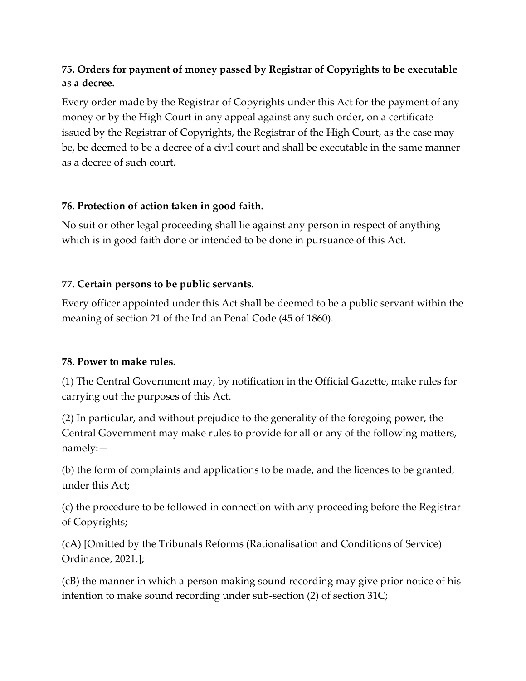# **75. Orders for payment of money passed by Registrar of Copyrights to be executable as a decree.**

Every order made by the Registrar of Copyrights under this Act for the payment of any money or by the High Court in any appeal against any such order, on a certificate issued by the Registrar of Copyrights, the Registrar of the High Court, as the case may be, be deemed to be a decree of a civil court and shall be executable in the same manner as a decree of such court.

### **76. Protection of action taken in good faith.**

No suit or other legal proceeding shall lie against any person in respect of anything which is in good faith done or intended to be done in pursuance of this Act.

# **77. Certain persons to be public servants.**

Every officer appointed under this Act shall be deemed to be a public servant within the meaning of section 21 of the Indian Penal Code (45 of 1860).

# **78. Power to make rules.**

(1) The Central Government may, by notification in the Official Gazette, make rules for carrying out the purposes of this Act.

(2) In particular, and without prejudice to the generality of the foregoing power, the Central Government may make rules to provide for all or any of the following matters, namely:—

(b) the form of complaints and applications to be made, and the licences to be granted, under this Act;

(c) the procedure to be followed in connection with any proceeding before the Registrar of Copyrights;

(cA) [Omitted by the Tribunals Reforms (Rationalisation and Conditions of Service) Ordinance, 2021.];

(cB) the manner in which a person making sound recording may give prior notice of his intention to make sound recording under sub-section (2) of section 31C;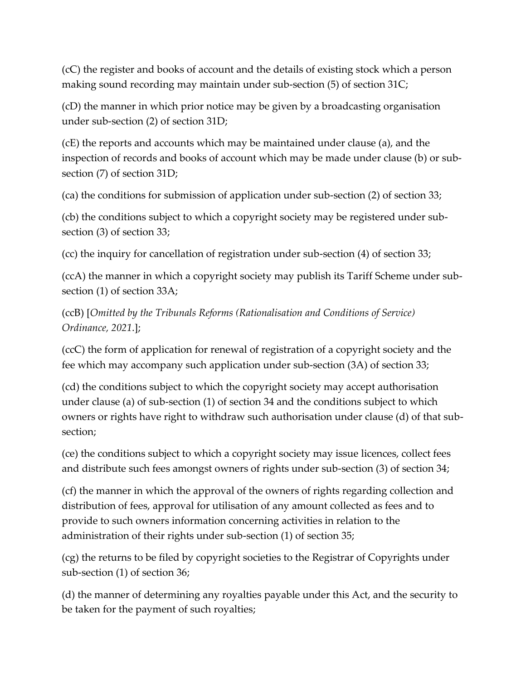(cC) the register and books of account and the details of existing stock which a person making sound recording may maintain under sub-section (5) of section 31C;

(cD) the manner in which prior notice may be given by a broadcasting organisation under sub-section (2) of section 31D;

(cE) the reports and accounts which may be maintained under clause (a), and the inspection of records and books of account which may be made under clause (b) or subsection (7) of section 31D;

(ca) the conditions for submission of application under sub-section (2) of section 33;

(cb) the conditions subject to which a copyright society may be registered under subsection (3) of section 33;

(cc) the inquiry for cancellation of registration under sub-section (4) of section 33;

(ccA) the manner in which a copyright society may publish its Tariff Scheme under subsection (1) of section 33A;

(ccB) [*Omitted by the Tribunals Reforms (Rationalisation and Conditions of Service) Ordinance, 2021*.];

(ccC) the form of application for renewal of registration of a copyright society and the fee which may accompany such application under sub-section (3A) of section 33;

(cd) the conditions subject to which the copyright society may accept authorisation under clause (a) of sub-section (1) of section 34 and the conditions subject to which owners or rights have right to withdraw such authorisation under clause (d) of that subsection;

(ce) the conditions subject to which a copyright society may issue licences, collect fees and distribute such fees amongst owners of rights under sub-section (3) of section 34;

(cf) the manner in which the approval of the owners of rights regarding collection and distribution of fees, approval for utilisation of any amount collected as fees and to provide to such owners information concerning activities in relation to the administration of their rights under sub-section (1) of section 35;

(cg) the returns to be filed by copyright societies to the Registrar of Copyrights under sub-section (1) of section 36;

(d) the manner of determining any royalties payable under this Act, and the security to be taken for the payment of such royalties;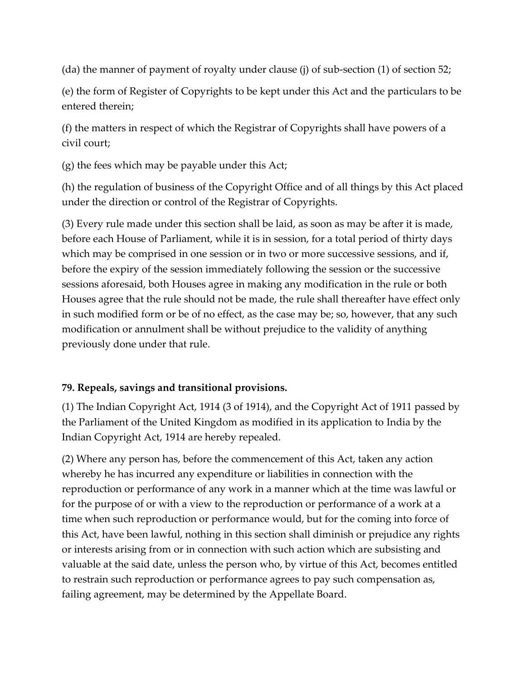(da) the manner of payment of royalty under clause (j) of sub-section (1) of section 52;

(e) the form of Register of Copyrights to be kept under this Act and the particulars to be entered therein;

(f) the matters in respect of which the Registrar of Copyrights shall have powers of a civil court;

(g) the fees which may be payable under this Act;

(h) the regulation of business of the Copyright Office and of all things by this Act placed under the direction or control of the Registrar of Copyrights.

(3) Every rule made under this section shall be laid, as soon as may be after it is made, before each House of Parliament, while it is in session, for a total period of thirty days which may be comprised in one session or in two or more successive sessions, and if, before the expiry of the session immediately following the session or the successive sessions aforesaid, both Houses agree in making any modification in the rule or both Houses agree that the rule should not be made, the rule shall thereafter have effect only in such modified form or be of no effect, as the case may be; so, however, that any such modification or annulment shall be without prejudice to the validity of anything previously done under that rule.

# **79. Repeals, savings and transitional provisions.**

(1) The Indian Copyright Act, 1914 (3 of 1914), and the Copyright Act of 1911 passed by the Parliament of the United Kingdom as modified in its application to India by the Indian Copyright Act, 1914 are hereby repealed.

(2) Where any person has, before the commencement of this Act, taken any action whereby he has incurred any expenditure or liabilities in connection with the reproduction or performance of any work in a manner which at the time was lawful or for the purpose of or with a view to the reproduction or performance of a work at a time when such reproduction or performance would, but for the coming into force of this Act, have been lawful, nothing in this section shall diminish or prejudice any rights or interests arising from or in connection with such action which are subsisting and valuable at the said date, unless the person who, by virtue of this Act, becomes entitled to restrain such reproduction or performance agrees to pay such compensation as, failing agreement, may be determined by the Appellate Board.